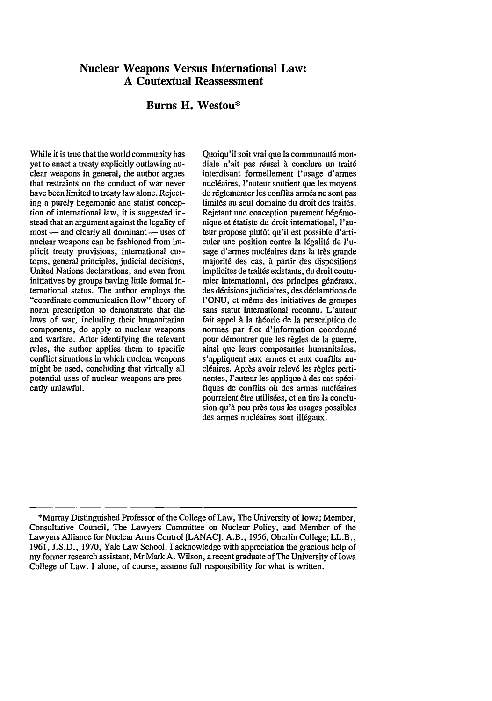# **Nuclear Weapons Versus International Law: A Contextual Reassessment**

## **Burns H. Weston\***

While it is true that the world community has yet to enact a treaty explicitly outlawing nuclear weapons in general, the author argues that restraints on the conduct of war never have been limited to treaty law alone. Rejecting a purely hegemonic and statist conception of international law, it is suggested instead that an argument against the legality of most - and clearly all dominant - uses of nuclear weapons can be fashioned from implicit treaty provisions, international customs, general principles, judicial decisions, United Nations declarations, and even from initiatives by groups having little formal international status. The author employs the "coordinate communication flow" theory of norm prescription to demonstrate that the laws of war, including their humanitarian components, do apply to nuclear weapons and warfare. After identifying the relevant rules, the author applies them to specific conflict situations in which nuclear weapons might be used, concluding that virtually all potential uses of nuclear weapons are presently unlawful.

Quoiqu'il soit vrai que la communauté mondiale n'ait pas réussi à conclure un traité interdisant formellement l'usage d'armes nucl6aires, l'auteur soutient que les moyens de réglementer les conflits armés ne sont pas limit6s au seul domaine du droit des trait6s. Rejetant une conception purement h6g6monique et étatiste du droit international, l'auteur propose plut6t qu'il est possible d'articuler une position contre la légalité de l'usage d'armes nucléaires dans la très grande majorit6 des cas, **A** partir des dispositions implicites de trait6s existants, du droit coutumier international, des principes généraux, des décisions judiciaires, des déclarations de l'ONU, et même des initiatives de groupes sans statut international reconnu. L'auteur fait appel à la théorie de la prescription de normes par flot d'information coordonn6 pour démontrer que les règles de la guerre, ainsi que leurs composantes humanitaires, s'appliquent aux armes et aux conflits nucléaires. Après avoir relevé les règles pertinentes, l'auteur les applique **A** des cas spdcifiques de conflits où des armes nucléaires pourraient 6tre utilis6es, et en tire la conclusion qu'à peu près tous les usages possibles des armes nucléaires sont illégaux.

<sup>\*</sup>Murray Distinguished Professor of the College of Law, The University of Iowa; Member, Consultative Council, The Lawyers Committee on Nuclear Policy, and Member of the Lawyers Alliance for Nuclear Arms Control [LANAC]. A.B., 1956, Oberlin College; LL.B., 1961, J.S.D., 1970, Yale Law School. I acknowledge with appreciation the gracious help of my former research assistant, Mr Mark A. Wilson, a recent graduate of The University of Iowa College of Law. I alone, of course, assume full responsibility for what is written.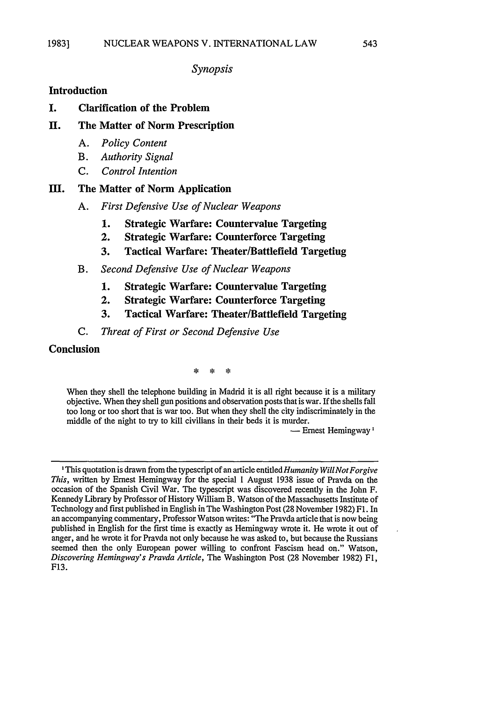543

*Synopsis*

# Introduction

**I.** Clarification of the Problem

### **I.** The Matter of Norm Prescription

- *A. Policy Content*
- *B. Authority Signal*
- C. *Control Intention*

### **III.** The Matter of Norm Application

- A. *First Defensive Use of Nuclear Weapons*
	- **1.** Strategic Warfare: Countervalue Targeting
	- 2. Strategic Warfare: Counterforce Targeting
	- **3.** Tactical Warfare: Theater/Battlefield Targeting
- B. *Second Defensive Use of Nuclear Weapons*
	- **1.** Strategic Warfare: Countervalue Targeting
	- 2. Strategic Warfare: Counterforce Targeting
	- **3.** Tactical Warfare: Theater/Battlefield Targeting
- *C. Threat of First or Second Defensive Use*

# Conclusion

 $\star$ ×. ÷.

When they shell the telephone building in Madrid it is all right because it is a military objective. When they shell gun positions and observation posts that is war. If the shells fall too long or too short that is war too. But when they shell the city indiscriminately in the middle of the night to try to kill civilians in their beds it is murder.

**-** Ernest Hemingway'

<sup>&</sup>lt;sup>1</sup> This quotation is drawn from the typescript of an article entitled *Humanity WillNot Forgive This,* written by Ernest Hemingway for the special 1 August 1938 issue of Pravda on the occasion of the Spanish Civil War. The typescript was discovered recently in the John F. Kennedy Library by Professor of History William B. Watson of the Massachusetts Institute of Technology and first published in English in The Washington Post (28 November 1982) Fl. In an accompanying commentary, Professor Watson writes: "The Pravda article that is now being published in English for the first time is exactly as Hemingway wrote it. He wrote it out of anger, and he wrote it for Pravda not only because he was asked to, but because the Russians seemed then the only European power willing to confront Fascism head on." Watson, *Discovering Hemingway's Pravda Article,* The Washington Post (28 November 1982) Fl, F13.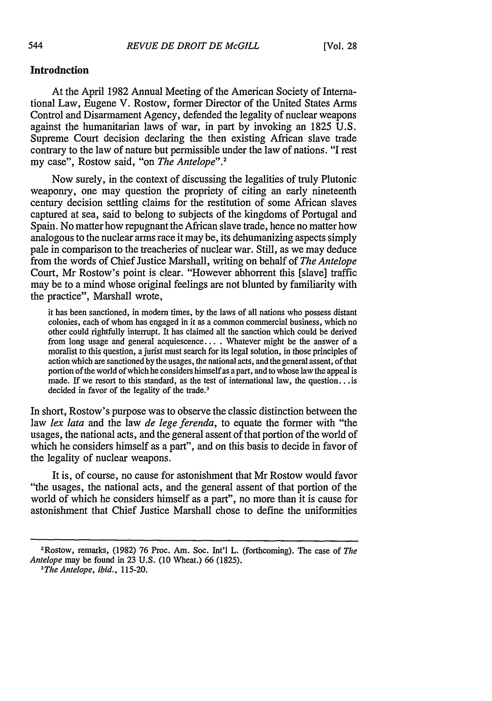## **Introduction**

At the April **1982** Annual Meeting of the American Society of International Law, Eugene V. Rostow, former Director of the United States Arms Control and Disarmament Agency, defended the legality of nuclear weapons against the humanitarian laws of war, in part **by** invoking an **1825 U.S.** Supreme Court decision declaring the then existing African slave trade contrary to the law of nature but permissible under the law of nations. "I rest my case", Rostow said, "on *The Antelope".2*

Now surely, in the context of discussing the legalities of truly Plutonic weaponry, one may question the propriety of citing an early nineteenth century decision settling claims for the restitution of some African slaves captured at sea, said to belong to subjects of the kingdoms of Portugal and Spain. No matter how repugnant the African slave trade, hence no matter how analogous to the nuclear arms race it may be, its dehumanizing aspects simply pale in comparison to the treacheries of nuclear war. Still, as we may deduce from the words of Chief Justice Marshall, writing on behalf of *The Antelope* Court, Mr Rostow's point is clear. "However abhorrent this [slave] traffic may be to a mind whose original feelings are not blunted **by** familiarity with the practice", Marshall wrote,

it has been sanctioned, in modem times, **by** the laws of all nations who possess distant colonies, each of whom has engaged in it as a common commercial business, which no other could rightfully interrupt. It has claimed all the sanction which could be derived from long usage and general acquiescence... **.** Whatever might be the answer of a moralist to this question, a jurist must search for its legal solution, in those principles of action which are sanctioned **by** the usages, the national acts, and the general assent, of that portion of the world of which he considers himself as a part, and to whose law the appeal is made. **If** we resort to this standard, as the test of international law, the question.. **.is** decided in favor of the legality of the trade.'

In short, Rostow's purpose was to observe the classic distinction between the law *lex lata* and the law *de lege ferenda,* to equate the former with "the usages, the national acts, and the general assent of that portion of the world of which he considers himself as a part", and on this basis to decide in favor of the legality of nuclear weapons.

It is, of course, no cause for astonishment that Mr Rostow would favor "the usages, the national acts, and the general assent of that portion of the world of which he considers himself as a part", no more than it is cause for astonishment that Chief Justice Marshall chose to define the uniformities

<sup>2</sup>Rostow, remarks, **(1982) 76** Proc. Am. Soc. Int'l L. (forthcoming). The case of *The Antelope* may be found in **23 U.S. (10** Wheat.) **66 (1825).** *<sup>3</sup>*

*The Antelope, ibid., 115-20.*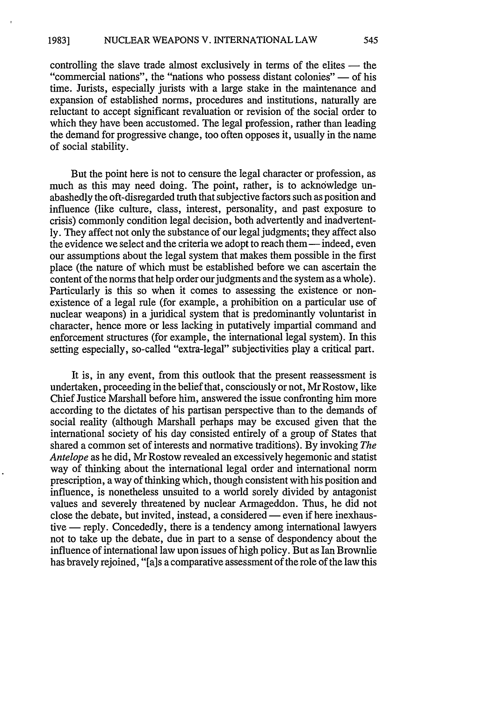controlling the slave trade almost exclusively in terms of the elites  $-$  the "commercial nations", the "nations who possess distant colonies" — of his time. Jurists, especially jurists with a large stake in the maintenance and expansion of established norms, procedures and institutions, naturally are reluctant to accept significant revaluation or revision of the social order to which they have been accustomed. The legal profession, rather than leading the demand for progressive change, too often opposes it, usually in the name of social stability.

But the point here is not to censure the legal character or profession, as much as this may need doing. The point, rather, is to acknowledge unabashedly the oft-disregarded truth that subjective factors such as position and influence (like culture, class, interest, personality, and past exposure to crisis) commonly condition legal decision, both advertently and inadvertently. They affect not only the substance of our legal judgments; they affect also the evidence we select and the criteria we adopt to reach them — indeed, even our assumptions about the legal system that makes them possible in the first place (the nature of which must be established before we can ascertain the content of the norms that help order our judgments and the system as a whole). Particularly is this so when it comes to assessing the existence or nonexistence of a legal rule (for example, a prohibition on a particular use of nuclear weapons) in a juridical system that is predominantly voluntarist in character, hence more or less lacking in putatively impartial command and enforcement structures (for example, the international legal system). In this setting especially, so-called "extra-legal" subjectivities play a critical part.

It is, in any event, from this outlook that the present reassessment is undertaken, proceeding in the belief that, consciously or not, Mr Rostow, like Chief Justice Marshall before him, answered the issue confronting him more according to the dictates of his partisan perspective than to the demands of social reality (although Marshall perhaps may be excused given that the international society of his day consisted entirely of a group of States that shared a common set of interests and normative traditions). By invoking *The Antelope* as he did, Mr Rostow revealed an excessively hegemonic and statist way of thinking about the international legal order and international norm prescription, a way of thinking which, though consistent with his position and influence, is nonetheless unsuited to a world sorely divided by antagonist values and severely threatened by nuclear Armageddon. Thus, he did not close the debate, but invited, instead, a considered — even if here inexhaustive — reply. Concededly, there is a tendency among international lawyers not to take up the debate, due in part to a sense of despondency about the influence of international law upon issues of high policy. But as Ian Brownlie has bravely rejoined, "[a]s a comparative assessment of the role of the law this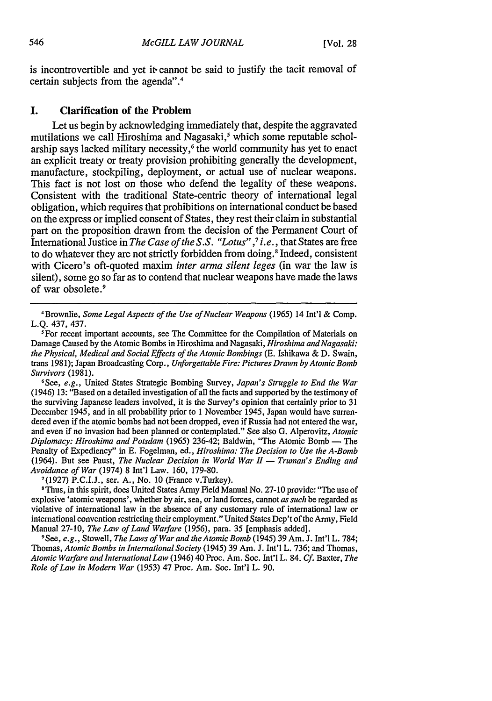is incontrovertible and yet it cannot be said to justify the tacit removal of certain subjects from the agenda".4

# **I. Clarification of the Problem**

Let us begin by acknowledging immediately that, despite the aggravated mutilations we call Hiroshima and Nagasaki,<sup>5</sup> which some reputable scholarship says lacked military necessity, 6 the world community has yet to enact an explicit treaty or treaty provision prohibiting generally the development, manufacture, stockpiling, deployment, or actual use of nuclear weapons. This fact is not lost on those who defend the legality of these weapons. Consistent with the traditional State-centric theory of international legal obligation, which requires that prohibitions on international conduct be based on the express or implied consent of States, they rest their claim in substantial part on the proposition drawn from the decision of the Permanent Court of International Justice in *The Case of the S.S. "Lotus"* **,7** *i.e.,* that States are free to do whatever they are not strictly forbidden from doing.8 Indeed, consistent with Cicero's oft-quoted maxim *inter arma silent leges* (in war the law is silent), some go so far as to contend that nuclear weapons have made the laws of war obsolete.<sup>9</sup>

4 Brownlie, *Some Legal Aspects of the Use of Nuclear Weapons* (1965) 14 Int'l & Comp. L.Q. 437, 437.

See, *e.g.,* United States Strategic Bombing Survey, *Japan's Struggle to End the War* (1946) 13: "Based on a detailed investigation of all the facts and supported by the testimony of the surviving Japanese leaders involved, it is the Survey's opinion that certainly prior to 31 December 1945, and in all probability prior to 1 November 1945, Japan would have surrendered even if the atomic bombs had not been dropped, even if Russia had not entered the war, and even if no invasion had been planned or contemplated." See also G. Alperovitz, *Atomic Diplomacy: Hiroshima and Potsdam* (1965) 236-42; Baldwin, "The Atomic Bomb - The Penalty of Expediency" in E. Fogelman, ed., *Hiroshima: The Decision to Use the A-Bomb* (1964). But see Paust, *The Nuclear Decision in World War 1I* **-** *Truman's Ending and Avoidance of War* (1974) 8 Int'l Law. 160, 179-80.

 $7(1927)$  P.C.I.J., ser. A., No. 10 (France v.Turkey).

'Thus, in this spirit, does United States Army Field Manual No. 27-10 provide: "The use of explosive 'atomic weapons', whether by air, sea, or land forces, cannot *as such* be regarded as violative of international law in the absence of any customary rule of international law or international convention restricting their employment." United States Dep't of the Army, Field Manual 27-10, *The Law of Land Warfare (1956),* para. 35 [emphasis added].

9See, *e.g.,* Stowell, *The Laws of War and the Atomic Bomb* (1945) 39 Am. J. Int'l L. 784; Thomas, *Atomic Bombs in International Society* (1945) 39 Am. **J.** Int'l L. 736; and Thomas, *Atomic Warfare andInternationalLaw* (1946) 40 Proc. Am. Soc. Int'l L. 84. *Cf.* Baxter, *The Role of Law in Modern War* (1953) 47 Proc. Am. Soc. Int'l L. 90.

<sup>5</sup>For recent important accounts, see The Committee for the Compilation of Materials on Damage Caused by the Atomic Bombs in Hiroshima and Nagasaki, *Hiroshima and Nagasaki: the Physical, Medical and Social Effects of the Atomic Bombings* (E. Ishikawa & D. Swain, trans 1981); Japan Broadcasting Corp., *Unforgettable Fire: Pictures Drawn by Atomic Bomb Survivors* (1981).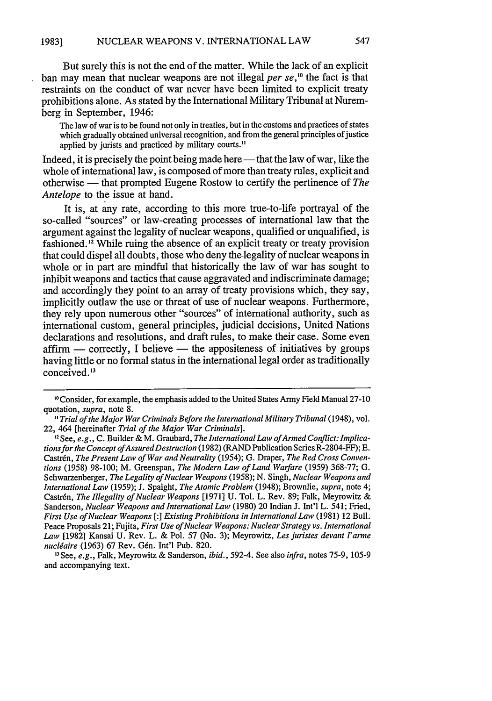But surely this is not the end of the matter. While the lack of an explicit ban may mean that nuclear weapons are not illegal *per se,10* the fact is that restraints on the conduct of war never have been limited to explicit treaty prohibitions alone. As stated by the International Military Tribunal at Nuremberg in September, 1946:

The law of war is to be found not only in treaties, but in the customs and practices of states which gradually obtained universal recognition, and from the general principles of justice applied by jurists and practiced by military courts."

Indeed, it is precisely the point being made here— that the law of war, like the whole of international law, is composed of more than treaty rules, explicit and otherwise - that prompted Eugene Rostow to certify the pertinence of *The Antelope* to the issue at hand.

It is, at any rate, according to this more true-to-life portrayal of the so-called "sources" or law-creating processes of international law that the argument against the legality of nuclear weapons, qualified or unqualified, is fashioned.'2 While ruing the absence of an explicit treaty or treaty provision that could dispel all doubts, those who deny the.legality of nuclear weapons in whole or in part are mindful that historically the law of war has sought to inhibit weapons and tactics that cause aggravated and indiscriminate damage; and accordingly they point to an array of treaty provisions which, they say, implicitly outlaw the use or threat of use of nuclear weapons. Furthermore, they rely upon numerous other "sources" of international authority, such as international custom, general principles, judicial decisions, United Nations declarations and resolutions, and draft rules, to make their case. Some even affirm  $-$  correctly, I believe  $-$  the appositeness of initiatives by groups having little or no formal status in the international legal order as traditionally conceived. **'1**

**<sup>&#</sup>x27;0** Consider, for example, the emphasis added to the United States Army Field Manual 27- **10** quotation, *supra,* note 8.

*<sup>&</sup>quot; Trial of the Major War Criminals Before the International Military Tribunal* (1948), vol. 22, 464 [hereinafter *Trial of the Major War Criminals].*

<sup>2</sup>See, *e.g.,* C. Builder & M. Graubard, *The International Law of Armed Conflict: Implicationsfor the Concept ofAssuredDestruction* (1982) (RAND Publication Series R-2804-FF); E. Castr6n, *The Present Law of War and Neutrality* (1954); G. Draper, *The Red Cross Conventions* (1958) 98-100; M. Greenspan, *The Modern Law of Land Warfare* (1959) 368-77; G. Schwarzenberger, *The Legality of Nuclear Weapons (1958);* N. Singh, *Nuclear Weapons and International Law* (1959); J. Spaight, *The Atomic Problem* (1948); Brownlie, *supra,* note 4; Castr6n, *The Illegality of Nuclear Weapons* [1971] U. Tol. L. Rev. 89; Falk, Meyrowitz & Sanderson, *Nuclear Weapons and International Law* (1980) 20 Indian J. Int'l L. 541; Fried, *First Use of Nuclear Weapons [:] Existing Prohibitions in International Law* (1981) 12 Bull. Peace Proposals 21; Fujita, *First Use of Nuclear Weapons: Nuclear Strategy vs. International Law* [1982] Kansai U. Rev. L. & Pol. 57 (No. 3); Meyrowitz, *Les juristes devant l'arme nuclgaire* (1963) 67 Rev. G6n. Int'l Pub. 820.

<sup>&</sup>quot;See, *e.g.,* Falk, Meyrowitz & Sanderson, *ibid.,* 592-4. See also *infra,* notes 75-9, 105-9 and accompanying text.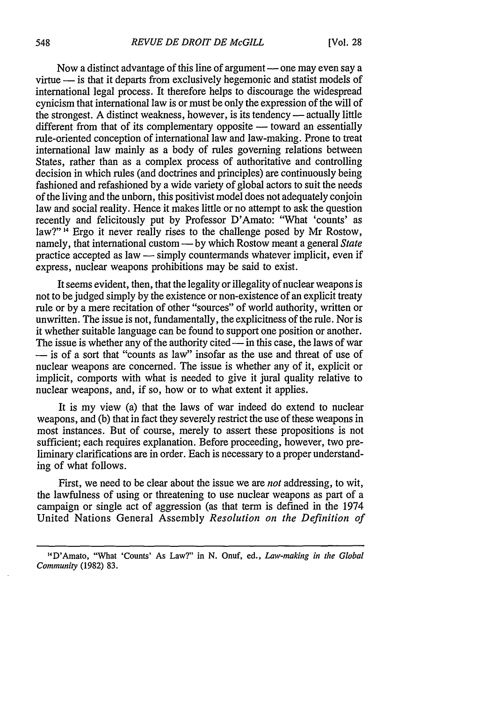Now a distinct advantage of this line of argument — one may even say a virtue - is that it departs from exclusively hegemonic and statist models of international legal process. It therefore helps to discourage the widespread cynicism that international law is or must be only the expression of the will of the strongest. A distinct weakness, however, is its tendency  $-$  actually little different from that of its complementary opposite — toward an essentially rule-oriented conception of international law and law-making. Prone to treat international law mainly as a body of rules governing relations between States, rather than as a complex process of authoritative and controlling decision in which rules (and doctrines and principles) are continuously being fashioned and refashioned by a wide variety of global actors to suit the needs of the living and the unborn, this positivist model does not adequately conjoin law and social reality. Hence it makes little or no attempt to ask the question recently and felicitously put by Professor D'Amato: "What 'counts' as law?"<sup>14</sup> Ergo it never really rises to the challenge posed by Mr Rostow, namely, that international custom **-** by which Rostow meant a general *State* practice accepted as law - simply countermands whatever implicit, even if express, nuclear weapons prohibitions may be said to exist.

It seems evident, then, that the legality or illegality of nuclear weapons is not to be judged simply by the existence or non-existence of an explicit treaty rule or by a mere recitation of other "sources" of world authority, written or unwritten. The issue is not, fundamentally, the explicitness of the rule. Nor is it whether suitable language can be found to support one position or another. The issue is whether any of the authority cited  $-$  in this case, the laws of war **-** is of a sort that "counts as law" insofar as the use and threat of use of nuclear weapons are concerned. The issue is whether any of it, explicit or implicit, comports with what is needed to give it jural quality relative to nuclear weapons, and, if so, how or to what extent it applies.

It is my view (a) that the laws of war indeed do extend to nuclear weapons, and (b) that in fact they severely restrict the use of these weapons in most instances. But of course, merely to assert these propositions is not sufficient; each requires explanation. Before proceeding, however, two preliminary clarifications are in order. Each is necessary to a proper understanding of what follows.

First, we need to be clear about the issue we are *not* addressing, to wit, the lawfulness of using or threatening to use nuclear weapons as part of a campaign or single act of aggression (as that term is defined in the 1974 United Nations General Assembly *Resolution on the Definition of*

<sup>1</sup> 4 D'Amato, "What 'Counts' As Law?" **in N.** Onuf, ed., *Law-making in the Global Community* **(1982) 83.**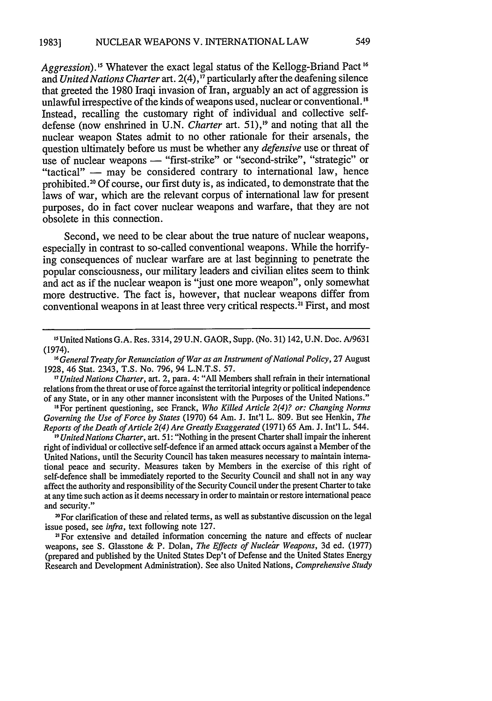Aggression).<sup>15</sup> Whatever the exact legal status of the Kellogg-Briand Pact<sup>16</sup> and United Nations Charter art. 2(4),<sup>17</sup> particularly after the deafening silence that greeted the 1980 Iraqi invasion of Iran, arguably an act of aggression is unlawful irrespective of the kinds of weapons used, nuclear or conventional. **I** Instead, recalling the customary right of individual and collective selfdefense (now enshrined in U.N. *Charter* art. 51),<sup>19</sup> and noting that all the nuclear weapon States admit to no other rationale for their arsenals, the question ultimately before us must be whether any *defensive* use or threat of use of nuclear weapons — "first-strike" or "second-strike", "strategic" or "tactical"  $-$  may be considered contrary to international law, hence prohibited." Of course, our first duty is, as indicated, to demonstrate that the laws of war, which are the relevant corpus of international law for present purposes, do in fact cover nuclear weapons and warfare, that they are not obsolete in this connection.

Second, we need to be clear about the true nature of nuclear weapons, especially in contrast to so-called conventional weapons. While the horrifying consequences of nuclear warfare are at last beginning to penetrate the popular consciousness, our military leaders and civilian elites seem to think and act as if the nuclear weapon is "just one more weapon", only somewhat more destructive. The fact is, however, that nuclear weapons differ from conventional weapons in at least three very critical respects.<sup>21</sup> First, and most

<sup>18</sup> For pertinent questioning, see Franck, *Who Killed Article 2(4)? or: Changing Norms Governing the Use of Force by States* (1970) 64 Am. J. Int'l L. 809. But see Henkin, *The Reports of the Death of Article 2(4) Are Greatly Exaggerated* (1971) 65 Am. J. Int'l L. 544.

*19 United Nations Charter,* art. 51: "Nothing in the present Charter shall impair the inherent right of individual or collective self-defence if an armed attack occurs against a Member of the United Nations, until the Security Council has taken measures necessary to maintain international peace and security. Measures taken by Members in the exercise of this right of self-defence shall be immediately reported to the Security Council and shall not in any way affect the authority and responsibility of the Security Council under the present Charter to take at any time such action as it deems necessary in order to maintain or restore international peace and security."

2For clarification of these and related terms, as well as substantive discussion on the legal issue posed, see *infra,* text following note 127.

2For extensive and detailed information concerning the nature and effects of nuclear weapons, see S. Glasstone & P. Dolan, *The Effects of Nuclezr Weapons,* 3d ed. (1977) (prepared and published by the United States Dep't of Defense and the United States Energy Research and Development Administration). See also United Nations, *Comprehensive Study*

<sup>&</sup>quot;5 United Nations G.A. Res. 3314,29 U.N. GAOR, Supp. (No. 31) 142, U.N. Doc. A/9631 (1974). *,6 General Treatyfor Renunciation of War as an Instrument of National Policy,* 27 August

<sup>1928, 46</sup> Stat. 2343, T.S. No. 796, 94 L.N.T.S. 57.

*<sup>1</sup> United Nations Charter,* art. 2, para. 4: "All Members shall refrain in their international relations from the threat or use of force against the territorial integrity or political independence of any State, or in any other manner inconsistent with the Purposes of the United Nations."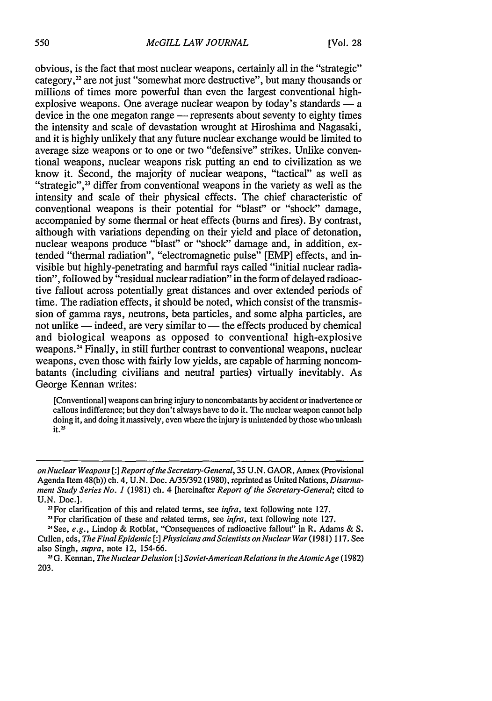obvious, is the fact that most nuclear weapons, certainly all in the "strategic" category,<sup>22</sup> are not just "somewhat more destructive", but many thousands or millions of times more powerful than even the largest conventional highexplosive weapons. One average nuclear weapon by today's standards — a device in the one megaton range — represents about seventy to eighty times the intensity and scale of devastation wrought at Hiroshima and Nagasaki, and it is highly unlikely that any future nuclear exchange would be limited to average size weapons or to one or two "defensive" strikes. Unlike conventional weapons, nuclear weapons risk putting an end to civilization as we know it. Second, the majority of nuclear weapons, "tactical" as well as "strategic",<sup>23</sup> differ from conventional weapons in the variety as well as the intensity and scale of their physical effects. The chief characteristic of conventional weapons is their potential for "blast" or "shock" damage, accompanied by some thermal or heat effects (bums and fires). By contrast, although with variations depending on their yield and place of detonation, nuclear weapons produce "blast" or "shock" damage and, in addition, extended "thermal radiation", "electromagnetic pulse" [EMP] effects, and invisible but highly-penetrating and harmful rays called "initial nuclear radiation", followed by "residual nuclear radiation" in the form of delayed radioactive fallout across potentially great distances and over extended periods of time. The radiation effects, it should be noted, which consist of the transmission of gamma rays, neutrons, beta particles, and some alpha particles, are not unlike  $\rightarrow$  indeed, are very similar to  $\rightarrow$  the effects produced by chemical and biological weapons as opposed to conventional high-explosive weapons.24 Finally, in still further contrast to conventional weapons, nuclear weapons, even those with fairly low yields, are capable of harming noncombatants (including civilians and neutral parties) virtually inevitably. As George Kennan writes:

[Conventional] weapons can bring injury to noncombatants by accident or inadvertence or callous indifference; but they don't always have to do it. The nuclear weapon cannot help doing it, and doing it massively, even where the injury is unintended by those who unleash  $it.<sup>25</sup>$ 

*on Nuclear Weapons [:] Report ofthe Secretary-General,* 35 U.N. GAOR, Annex (Provisional Agenda Item 48(b)) ch. 4, U.N. Doe. A/35/392 (1980), reprinted as United Nations, *Disarmament Study Series No. 1* (1981) ch. 4 [hereinafter *Report of the Secretary-General;* cited to U.N. Doe.]. <sup>2</sup> For clarification of this and related terms, see *infra,* text following note 127.

<sup>&</sup>lt;sup>22</sup> For clarification of these and related terms, see *infra*, text following note 127

<sup>&</sup>lt;sup>24</sup> See, e.g., Lindop & Rotblat, "Consequences of radioactive fallout" in R. Adams & S. Cullen, eds, *The Final Epidemic* [:] *Physicians and Scientists on Nuclear War* (1981) 117. See also Singh, *supra,* note 12, 154-66. **<sup>2</sup> G.** Kennan, *The Nuclear Delusion [:] Soviet-American Relations in the AtomicAge* (1982)

<sup>203.</sup>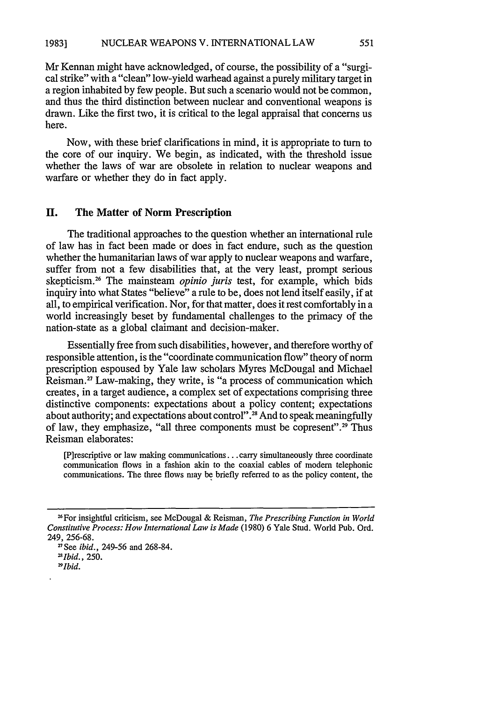Mr Kennan might have acknowledged, of course, the possibility of a "surgical strike" with a "clean" low-yield warhead against a purely military target in a region inhabited by few people. But such a scenario would not be common, and thus the third distinction between nuclear and conventional weapons is drawn. Like the first two, it is critical to the legal appraisal that concerns us here.

Now, with these brief clarifications in mind, it is appropriate to turn to the core of our inquiry. We begin, as indicated, with the threshold issue whether the laws of war are obsolete in relation to nuclear weapons and warfare or whether they do in fact apply.

## **H.** The Matter of Norm Prescription

The traditional approaches to the question whether an international rule of law has in fact been made or does in fact endure, such as the question whether the humanitarian laws of war apply to nuclear weapons and warfare, suffer from not a few disabilities that, at the very least, prompt serious skepticism.26 The mainsteam *opinio juris* test, for example, which bids inquiry into what States "believe" a rule to be, does not lend itself easily, if at all, to empirical verification. Nor, for that matter, does it rest comfortably in a world increasingly beset by fundamental challenges to the primacy of the nation-state as a global claimant and decision-maker.

Essentially free from such disabilities, however, and therefore worthy of responsible attention, is the "coordinate communication flow" theory of norm prescription espoused by Yale law scholars Myres McDougal and Michael Reisman.<sup>27</sup> Law-making, they write, is "a process of communication which creates, in a target audience, a complex set of expectations comprising three distinctive components: expectations about a policy content; expectations about authority; and expectations about control".28 And to speak meaningfully of law, they emphasize, "all three components must be copresent".<sup>29</sup> Thus Reisman elaborates:

[P]rescriptive or law making communications.., carry simultaneously three coordinate communication flows in a fashion akin to the coaxial cables of modem telephonic communications. The three flows may be briefly referred to as the policy content, the

<sup>&</sup>lt;sup>26</sup> For insightful criticism, see McDougal & Reisman, *The Prescribing Function in World Constitutive Process: How International Law is Made* (1980) 6 Yale Stud. World Pub. Ord. 249, 256-68.

<sup>2&#</sup>x27;See *ibid.,* 249-56 and 268-84. *sIbid.,* **250. <sup>29</sup>***Ibid.*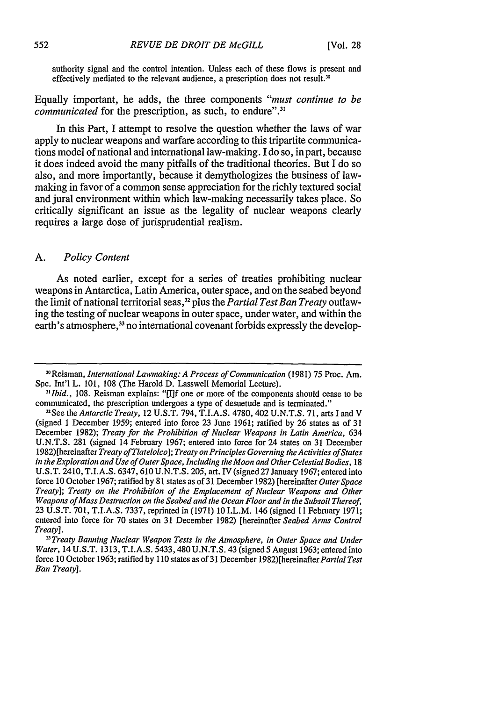authority signal and the control intention. Unless each of these flows is present and effectively mediated to the relevant audience, a prescription does not result.<sup>30</sup>

Equally important, he adds, the three components *"must continue to be* communicated for the prescription, as such, to endure".<sup>31</sup>

In this Part, I attempt to resolve the question whether the laws of war apply to nuclear weapons and warfare according to this tripartite communications model of national and international law-making. I do so, in part, because it does indeed avoid the many pitfalls of the traditional theories. But I do so also, and more importantly, because it demythologizes the business of lawmaking in favor of a common sense appreciation for the richly textured social and jural environment within which law-making necessarily takes place. So critically significant an issue as the legality of nuclear weapons clearly requires a large dose of jurisprudential realism.

#### A. *Policy Content*

As noted earlier, except for a series of treaties prohibiting nuclear weapons in Antarctica, Latin America, outer space, and on the seabed beyond the limit of national territorial seas,32 plus the *Partial Test Ban Treaty* outlawing the testing of nuclear weapons in outer space, under water, and within the earth's atmosphere,<sup>33</sup> no international covenant forbids expressly the develop-

<sup>3°</sup>Reisman, *International Lawmaking: A Process of Communication* (1981) 75 Proc. Am. **Soc.** Int'l L. 101, 108 (The Harold D. Lasswell Memorial Lecture). *<sup>3</sup> Ibid.,* 108. Reisman explains: "[I]f one or more of the components should cease to be

communicated, the prescription undergoes a type of desuetude and is terminated." 2

<sup>&</sup>lt;sup>32</sup> See the *Antarctic Treaty*, 12 U.S.T. 794, T.I.A.S. 4780, 402 U.N.T.S. 71, arts I and V (signed 1 December 1959; entered into force 23 June 1961; ratified by 26 states as of 31 December 1982); *Treaty for the Prohibition of Nuclear Weapons in Latin America,* 634 U.N.T.S. 281 (signed 14 February 1967; entered into force for 24 states on 31 December 1982)[hereinafter *Treaty of Tlatelolco]; Treaty on Principles Governing the Activities of States in the Exploration and Use of Outer Space, Including the Moon and Other Celestial Bodies, 18* U.S.T. 2410, T.I.A.S. 6347, 610 U.N.T.S. 205, art. IV (signed 27 January 1967; entered into force 10 October 1967; ratified by 81 states as of **31** December 1982) [hereinafter *Outer Space Treaty]; Treaty on the Prohibition of the Emplacement of Nuclear Weapons and Other Weapons of Mass Destruction on the Seabed and the Ocean Floor and in the Subsoil Thereof,* 23 U.S.T. 701, T.I.A.S. 7337, reprinted in (1971) 10 I.L.M. 146 (signed **I** 1 February 1971; entered into force for 70 states on 31 December 1982) [hereinafter *Seabed Arms Control Treaty].*

*<sup>&</sup>quot;Treaty Banning Nuclear Weapon Tests in the Atmosphere, in Outer Space and Under Water,* 14 U.S.T. 1313, T.I.A.S. 5433,480 U.N.T.S. 43 (signed 5 August 1963; entered into force 10 October 1963; ratified by 110 states as of 31 December 1982)[hereinafter Partial Test *Ban Treaty].*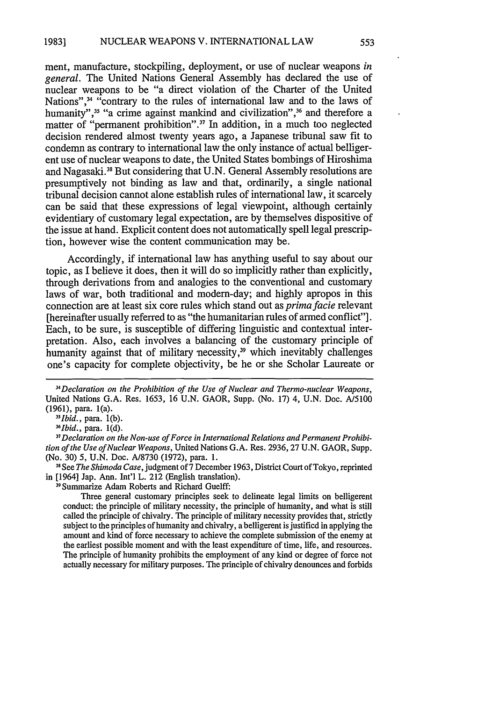ment, manufacture, stockpiling, deployment, or use of nuclear weapons *in general.* The United Nations General Assembly has declared the use of nuclear weapons to be "a direct violation of the Charter of the United Nations",<sup>34</sup> "contrary to the rules of international law and to the laws of humanity",<sup>35</sup> "a crime against mankind and civilization",<sup>36</sup> and therefore a matter of "permanent prohibition".<sup>37</sup> In addition, in a much too neglected decision rendered almost twenty years ago, a Japanese tribunal saw fit to condemn as contrary to international law the only instance of actual belligerent use of nuclear weapons to date, the United States bombings of Hiroshima and Nagasaki. 38 But considering that U.N. General Assembly resolutions are presumptively not binding as law and that, ordinarily, a single national tribunal decision cannot alone establish rules of international law, it scarcely can be said that these expressions of legal viewpoint, although certainly evidentiary of customary legal expectation, are by themselves dispositive of the issue at hand. Explicit content does not automatically spell legal prescription, however wise the content communication may be.

Accordingly, if international law has anything useful to say about our topic, as I believe it does, then it will do so implicitly rather than explicitly, through derivations from and analogies to the conventional and customary laws of war, both traditional and modem-day; and highly apropos in this connection are at least six core rules which stand out as *primafacie* relevant [hereinafter usually referred to as "the humanitarian rules of armed conflict"]. Each, to be sure, is susceptible of differing linguistic and contextual interpretation. Also, each involves a balancing of the customary principle of humanity against that of military necessity, $39$  which inevitably challenges one's capacity for complete objectivity, be he or she Scholar Laureate or

*<sup>3</sup> Ibid.,* para. l(b).

*6Ibid.,* para. l(d). *<sup>37</sup>*

*Declaration on the Non-use of Force in International Relations and Permanent Prohibition of the Use of Nuclear Weapons,* United Nations G.A. Res. 2936, 27 U.N. GAOR, Supp. (No. 30) 5, U.N. Doc. A/8730 (1972), para. 1.

**11** See *The Shimoda Case,* judgment of 7 December 1963, District Court of Tokyo, reprinted in [1964] Jap. Ann. Int'l L. 212 (English translation).

<sup>39</sup> Summarize Adam Roberts and Richard Guelff:

Three general customary principles seek to delineate legal limits on belligerent conduct: the principle of military necessity, the principle of humanity, and what is still called the principle of chivalry. The principle of military necessity provides that, strictly subject to the principles of humanity and chivalry, a belligerent is justified in applying the amount and kind of force necessary to achieve the complete submission of the enemy at the earliest possible moment and with the least expenditure of time, life, and resources. The principle of humanity prohibits the employment of any kind or degree of force not actually necessary for military purposes. The principle of chivalry denounces and forbids

*<sup>-</sup>Declaration on the Prohibition of the Use of Nuclear and Thermo-nuclear Weapons,* United Nations G.A. Res. 1653, 16 U.N. GAOR, Supp. (No. 17) 4, U.N. Doe. A/5100 (1961), para. l(a).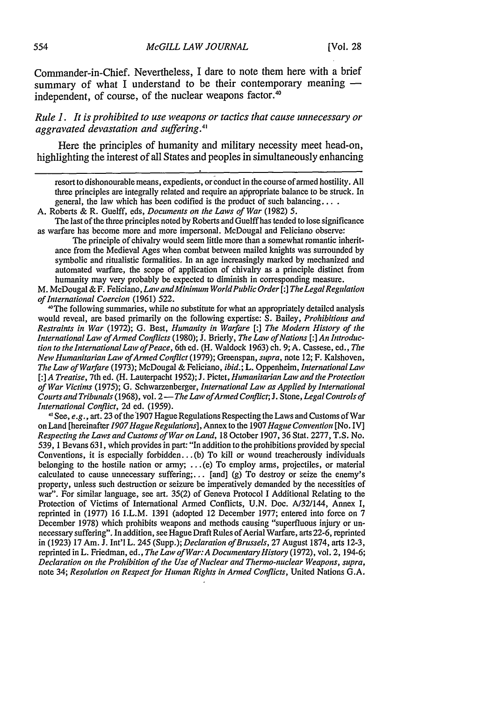Commander-in-Chief. Nevertheless, I dare to note them here with a brief summary of what I understand to be their contemporary meaning independent, of course, of the nuclear weapons factor.<sup>40</sup>

## *Rule 1. It is prohibited to use weapons or tactics that cause unnecessary or aggravated devastation and suffering.41*

Here the principles of humanity and military necessity meet head-on, highlighting the interest of all States and peoples in simultaneously enhancing

resort to dishonourable means, expedients, or conduct in the course of armed hostility. All three principles are integrally related and require an appropriate balance to be struck. In general, the law which has been codified is the product of such balancing....

A. Roberts & R. Guelff, eds, *Documents on the Laws of War* (1982) 5.

The last of the three principles noted by Roberts and Guelff has tended to lose significance as warfare has become more and more impersonal. McDougal and Feliciano observe:

The principle of chivalry would seem little more than a somewhat romantic inheritance from the Medieval Ages when combat between mailed knights was surrounded by symbolic and ritualistic formalities. In an age increasingly marked by mechanized and automated warfare, the scope of application of chivalry as a principle distinct from humanity may very probably be expected to diminish in corresponding measure.

M. McDougal & F. Feliciano, *Law and Minimum World Public Order* [:] The Legal Regulation *of International Coercion* (1961) 522.

4OThe following summaries, while no substitute for what an appropriately detailed analysis would reveal, are based primarily on the following expertise: S. Bailey, *Prohibitions and Restraints in War* (1972); G. Best, *Humanity in Warfare* **[:]** *The Modern History of the International Law of Armed Conflicts* (1980); J. Brierly, *The Law of Nations [:J An Introduction to the International Law of Peace,* 6th ed. (H. Waldock 1963) ch. 9; A. Cassese, ed., *The New Humanitarian Law ofArmed Conflict* (1979); Greenspan, *supra,* note 12; F. Kalshoven, *The Law of Warfare* (1973); McDougal & Feliciano, *ibid.;* L. Oppenheim, *International Law [:] A Treatise,* 7th ed. (H. Lauterpacht 1952); J. Pictet, *Humanitarian Law and the Protection of War Victims (1975);* G. Schwarzenberger, *International Law as Applied by International Courts and Tribunals* (1968), vol. **2-** *The Law ofArmed Conflict;* J. Stone, *Legal Controls of International Conflict*, 2d ed. (1959).

See, *e.g.,* art. 23 of the'1907 Hague Regulations Respecting the Laws and Customs of War on Land [hereinafter *1907HagueRegulations],* Annex to the 1907 *Hague Convention* [No. IV] *Respecting the Laws and Customs of War on Land,* 18 October 1907, 36 Stat. 2277, T.S. No. 539, 1 Bevans 631, which provides in part: "In addition to the prohibitions provided by special Conventions, it is especially forbidden **...** (b) To kill or wound treacherously individuals belonging to the hostile nation or army; ... (e) To employ arms, projectiles, or material calculated to cause unnecessary suffering;... [and]  $(g)$  To destroy or seize the enemy's property, unless such destruction or seizure be imperatively demanded by the necessities of war". For similar language, see art. 35(2) of Geneva Protocol I Additional Relating to the Protection of Victims of International Armed Conflicts, U.N. Doc. A/32/144, Annex I, reprinted in (1977) 16 I.L.M. 1391 (adopted 12 December 1977; entered into force on 7 December 1978) which prohibits weapons and methods causing "superfluous injury or unnecessary suffering". In addition, see Hague Draft Rules of Aerial Warfare, arts 22-6, reprinted in (1923) 17 Am. J. Int'l L. 245 (Supp.); *Declaration of Brussels,* 27 August 1874, arts 12-3, reprinted in L. Friedman, ed., *The Law of War:A Documentary History* (1972), vol. 2, 194-6; *Declaration on the Prohibition of the Use of Nuclear and Thermo-nuclear Weapons, supra,* note 34; *Resolution on Respect for Human Rights in Armed Conflicts,* United Nations G.A.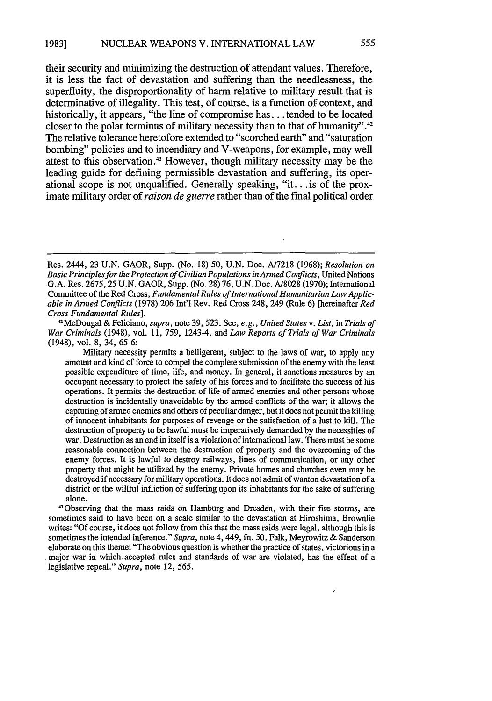their security and minimizing the destruction of attendant values. Therefore, it is less the fact of devastation and suffering than the needlessness, the superfluity, the disproportionality of harm relative to military result that is determinative of illegality. This test, of course, is a function of context, and historically, it appears, "the line of compromise has... tended to be located closer to the polar terminus of military necessity than to that of humanity".<sup>42</sup> The relative tolerance heretofore extended to "scorched earth" and "saturation bombing" policies and to incendiary and V-weapons, for example, may well attest to this observation.<sup>43</sup> However, though military necessity may be the leading guide for defining permissible devastation and suffering, its operational scope is not unqualified. Generally speaking, "it... is of the proximate military order of *raison de guerre* rather than of the final political order

Military necessity permits a belligerent, subject to the laws of war, to apply any amount and kind of force to compel the complete submission of the enemy with the least possible expenditure of time, life, and money. In general, it sanctions measures by an occupant necessary to protect the safety of his forces and to facilitate the success of his operations. It permits the destruction of life of armed enemies and other persons whose destruction is incidentally unavoidable by the armed conflicts of the war; it allows the capturing of armed enemies and others of peculiar danger, but it does not permit the killing of innocent inhabitants for purposes of revenge or the satisfaction of a lust to kill. The destruction of property to be lawful must be imperatively demanded by the necessities of war. Destruction as an end in itself is a violation of international law. There must be some reasonable connection between the destruction of property and the overcoming of the enemy forces. It is lawful to destroy railways, lines of communication, or any other property that might be utilized by the enemy. Private homes and churches even may be destroyed if necessary for military operations. It does not admit of wanton devastation of a district or the willful infliction of suffering upon its inhabitants for the sake of suffering alone.

43 Observing that the mass raids on Hamburg and Dresden, with their fire storms, are sometimes said to have been on a scale similar to the devastation at Hiroshima, Brownlie writes: "Of course, it does not follow from this that the mass raids were legal, although this is sometimes the intended inference." *Supra,* note 4, 449, fn. 50. Falk, Meyrowitz & Sanderson elaborate on this theme: "The obvious question is whether the practice of states, victorious in a major war in which accepted rules and standards of war are violated, has the effect of a legislative repeal." *Supra,* note 12, 565.

Res. 2444, 23 U.N. GAOR, Supp. (No. 18) 50, U.N. Doe. A/7218 (1968); *Resolution on Basic Principles for the Protection of Civilian Populations in Armed Conflicts,* United Nations G.A. Res. 2675,25 U.N. GAOR, Supp. (No. 28) 76, U.N. Doc. A/8028 (1970); International Committee of the Red Cross, *Fundamental Rules of International Humanitarian Law Applicable in Armed Conflicts* (1978) 206 Int'l Rev. Red Cross 248, 249 (Rule 6) [hereinafter *Red Cross Fundamental Rules].*

<sup>-&</sup>quot;McDougal & Feliciano, *supra,* note 39, 523. See, *e.g., United States v. List,* in *Trials of War Criminals* (1948), vol. 11, 759, 1243-4, and *Law Reports of Trials of War Criminals* (1948), vol. 8, 34, 65-6: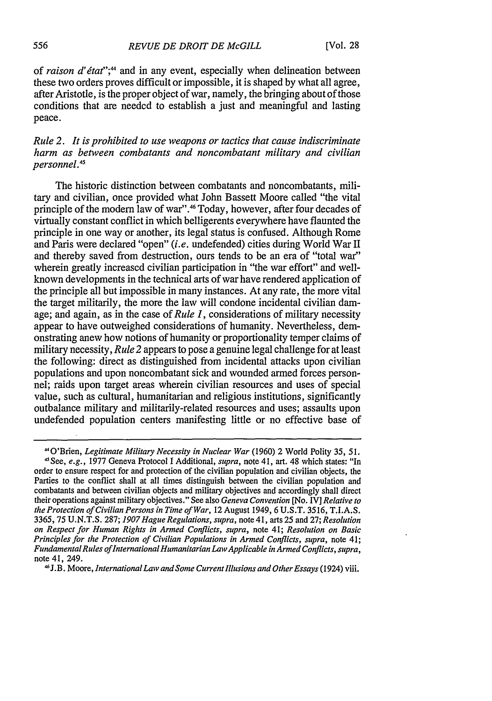of *raison d'état*";<sup>44</sup> and in any event, especially when delineation between these two orders proves difficult or impossible, it is shaped by what all agree, after Aristotle, is the proper object of war, namely, the bringing about of those conditions that are needed to establish a just and meaningful and lasting peace.

# *Rule 2. It is prohibited to use weapons or tactics that cause indiscriminate harm as between combatants and noncombatant military and civilian personnel."*

The historic distinction between combatants and noncombatants, military and civilian, once provided what John Bassett Moore called "the vital principle of the modern law of war".<sup>46</sup> Today, however, after four decades of virtually constant conflict in which belligerents everywhere have flaunted the principle in one way or another, its legal status is confused. Although Rome and Paris were declared "open" *(i.e.* undefended) cities during World War II and thereby saved from destruction, ours tends to be an era of "total war" wherein greatly increased civilian participation in "the war effort" and wellknown developments in the technical arts of war have rendered application of the principle all but impossible in many instances. At any rate, the more vital the target militarily, the more the law will condone incidental civilian damage; and again, as in the case *of Rule 1,* considerations of military necessity appear to have outweighed considerations of humanity. Nevertheless, demonstrating anew how notions of humanity or proportionality temper claims of military necessity, *Rule 2* appears to pose a genuine legal challenge for at least the following: direct as distinguished from incidental attacks upon civilian populations and upon noncombatant sick and wounded armed forces personnel; raids upon target areas wherein civilian resources and uses of special value, such as cultural, humanitarian and religious institutions, significantly outbalance military and militarily-related resources and uses; assaults upon undefended population centers manifesting little or no effective base of

46J.B. Moore, *International Law and Some Current Illusions and Other Essays* (1924) viii.

<sup>&#</sup>x27;O'Brien, *Legitimate Military Necessity in Nuclear War* (1960) 2 World Polity *35, 51. "See, e.g.,* 1977 Geneva Protocol I Additional, *supra,* note 41, art. 48 which states: "In order to ensure respect for and protection of the civilian population and civilian objects, the Parties to the conflict shall at all times distinguish between the civilian population and combatants and between civilian objects and military objectives and accordingly shall direct their operations against military objectives." See also *Geneva Convention* [No. IV] *Relative to the Protection of Civilian Persons in Time of War,* 12 August 1949, 6 U.S.T. 3516, T.I.A.S. 3365, 75 U.N.T.S. 287; *1907Hague Regulations, supra,* note 41, arts 25 and 27; *Resolution on Respect for Human Rights in Armed Conflicts, supra,* note 41; *Resolution on Basic Principles for the Protection of Civilian Populations in Armed Conflicts, supra, note 41; FundamentalRules of lnternational Humanitarian Law Applicable in Armed Conflicts, supra,* note 41, 249.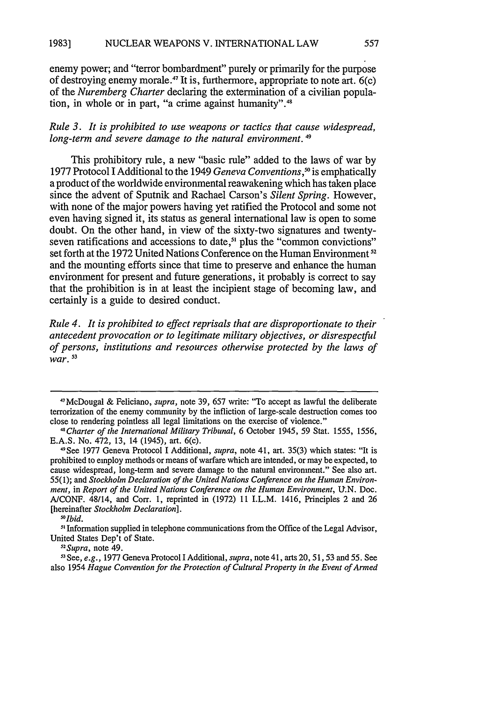enemy power; and "terror bombardment" purely or primarily for the purpose of destroying enemy morale.47 It is, furthermore, appropriate to note art. 6(c) of the *Nuremberg Charter* declaring the extermination of a civilian population, in whole or in part, "a crime against humanity".<sup>48</sup>

*Rule 3. It is prohibited to use weapons or tactics that cause widespread, long-term and severe damage to the natural environment. 49*

This prohibitory rule, a new "basic rule" added to the laws of war by 1977 Protocol I Additional to the 1949 *Geneva Conventions,"* is emphatically a product of the worldwide environmental reawakening which has taken place since the advent of Sputnik and Rachael Carson's *Silent Spring.* However, with none of the major powers having yet ratified the Protocol and some not even having signed it, its status as general international law is open to some doubt. On the other hand, in view of the sixty-two signatures and twentyseven ratifications and accessions to date, $5$ <sup>1</sup> plus the "common convictions" set forth at the 1972 United Nations Conference on the Human Environment<sup>52</sup> and the mounting efforts since that time to preserve and enhance the human environment for present and future generations, it probably is correct to say that the prohibition is in at least the incipient stage of becoming law, and certainly is a guide to desired conduct.

*Rule 4. It is prohibited to effect reprisals that are disproportionate to their antecedent provocation or to legitimate military objectives, or disrespectful of persons, institutions and resources otherwise protected by the laws of war.* **53**

*"'Ibid.* <sup>51</sup> nformation supplied in telephone communications from the Office of the Legal Advisor, United States Dep't of State.

*I'Supra,* note 49.

**"1** See, *e.g.,* 1977 Geneva Protocol I Additional, *supra,* note 41, arts 20, **51,** 53 and 55. See also 1954 *Hague Convention for the Protection of Cultural Property in the Event of Armed*

<sup>4&</sup>quot;McDougal & Feliciano, *supra,* note 39, 657 write: "To accept as lawful the deliberate terrorization of the enemy community by the infliction of large-scale destruction comes too close to rendering pointless all legal limitations on the exercise of violence."

*<sup>&</sup>quot; Charter of the International Military Tribunal,* 6 October 1945, 59 Stat. 1555, 1556, E.A.S. No. 472, 13, 14 (1945), art. 6(c).

See 1977 Geneva Protocol I Additional, *supra,* note 41, art. 35(3) which states: "It is prohibited to employ methods or means of warfare which are intended, or may be expected, to cause widespread, long-term and severe damage to the natural environment." See also art. 55(1); and *Stockholm Declaration of the United Nations Conference on the Human Environment,* in *Report of the United Nations Conference on the Human Environment,* U.N. Doc. A/CONF. 48/14, and Corr. 1, reprinted in (1972) 11 I.L.M. 1416, Principles 2 and 26 [hereinafter *Stockholm Declaration].*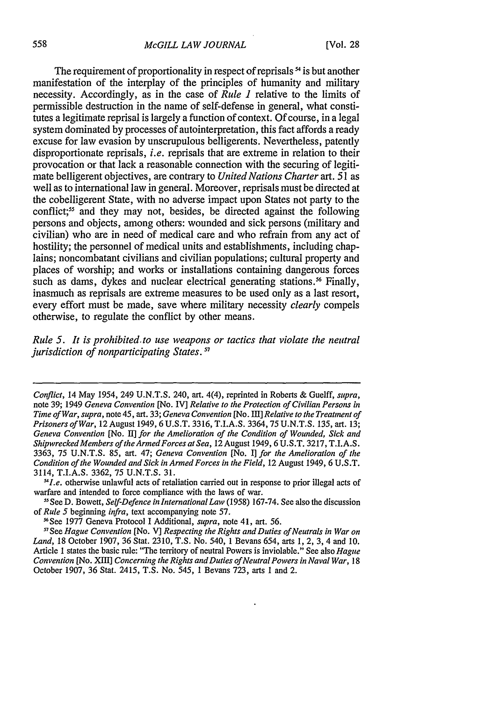The requirement of proportionality in respect of reprisals <sup>54</sup> is but another manifestation of the interplay of the principles of humanity and military necessity. Accordingly, as in the case of *Rule 1* relative to the limits of permissible destruction in the name of self-defense in general, what constitutes a legitimate reprisal is largely a function of context. Of course, in a legal system dominated by processes of autointerpretation, this fact affords a ready excuse for law evasion by unscrupulous belligerents. Nevertheless, patently disproportionate reprisals, *i.e.* reprisals that are extreme in relation to their provocation or that lack a reasonable connection with the securing of legitimate belligerent objectives, are contrary to *United Nations Charter* art. 51 as well as to international law in general. Moreover, reprisals must be directed at the cobelligerent State, with no adverse impact upon States not party to the conflict;<sup>55</sup> and they may not, besides, be directed against the following persons and objects, among others: wounded and sick persons (military and civilian) who are in need of medical care and who refrain from any act of hostility; the personnel of medical units and establishments, including chaplains; noncombatant civilians and civilian populations; cultural property and places of worship; and works or installations containing dangerous forces such as dams, dykes and nuclear electrical generating stations.<sup>56</sup> Finally, inasmuch as reprisals are extreme measures to be used only as a last resort, every effort must be made, save where military necessity *clearly* compels otherwise, to regulate the conflict by other means.

*Rule 5. It is prohibited. to use weapons or tactics that violate the neutral jurisdiction of nonparticipating States. 7*

*5'I.e.* otherwise unlawful acts of retaliation carried out in response to prior illegal acts of warfare and intended to force compliance with the laws of war.

See D. Bowett, *Self-Defence in International Law* (1958) 167-74. See also the discussion of *Rule 5* beginning *infra,* text accompanying note 57.

-'See 1977 Geneva Protocol I Additional, *supra,* note 41, art. 56.

**-"** *See Hague Convention* [No. V] *Respecting the Rights and Duties of Neutrals in War on Land,* 18 October 1907, 36 Stat. 2310, T.S. No. 540, 1 Bevans 654, arts 1, 2, 3, 4 and 10. Article 1 states the basic rule: "The territory of neutral Powers is inviolable." See also *Hague Convention* [No. XIII] *Concerning the Rights and Duties of Neutral Powers in Naval War, 18* October 1907, 36 Stat. 2415, T.S. No. 545, 1 Bevans 723, arts 1 and 2.

*Conflict,* 14 May 1954, 249 U.N.T.S. 240, art. 4(4), reprinted in Roberts & Guelff, *supra,* note 39; 1949 *Geneva Convention* [No. IV] *Relative to the Protection of Civilian Persons in Time of War, supra,* note 45, art. **33;** *Geneva Convention* [No. III] *Relative to the Treatment of Prisoners of War,* 12 August 1949, 6 U.S.T. 3316, T.I.A.S. 3364, 75 U.N.T.S. *135,* art. 13; *Geneva Convention* [No. II] *for the Amelioration of the Condition of Wounded, Sick and Shipwrecked Members of the Armed Forces at Sea,* 12 August 1949, 6 U.S.T. 3217, T.I.A.S. 3363, 75 U.N.T.S. 85, art. 47; *Geneva Convention* [No. I] *for the Amelioration of the Condition of the Wounded and Sick in Armed Forces in the Field,* 12 August 1949, 6 U.S.T. 3114, T.I.A.S. 3362, 75 U.N.T.S. 31.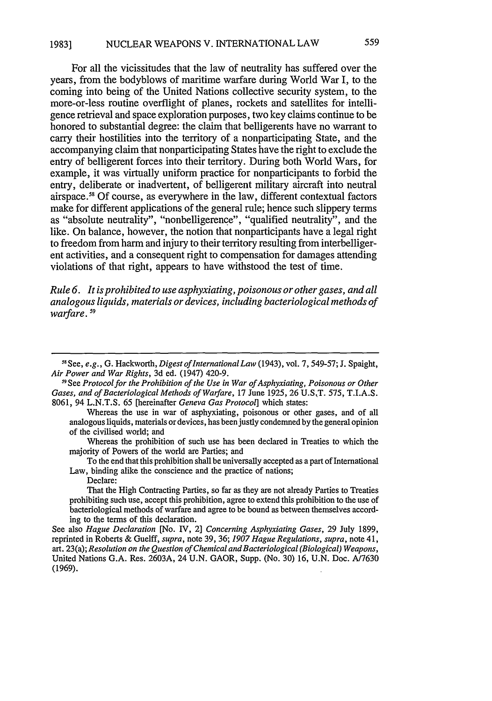For all the vicissitudes that the law of neutrality has suffered over the years, from the bodyblows of maritime warfare during World War I, to the coming into being of the United Nations collective security system, to the more-or-less routine overflight of planes, rockets and satellites for intelligence retrieval and space exploration purposes, two key claims continue to be honored to substantial degree: the claim that belligerents have no warrant to carry their hostilities into the territory of a nonparticipating State, and the accompanying claim that nonparticipating States have the right to exclude the entry of belligerent forces into their territory. During both World Wars, for example, it was virtually uniform practice for nonparticipants to forbid the entry, deliberate or inadvertent, of belligerent military aircraft into neutral airspace.<sup>58</sup> Of course, as everywhere in the law, different contextual factors make for different applications of the general rule; hence such slippery terms as "absolute neutrality", "nonbelligerence", "qualified neutrality", and the like. On balance, however, the notion that nonparticipants have a legal right to freedom from harm and injury to their territory resulting from interbelligerent activities, and a consequent right to compensation for damages attending violations of that right, appears to have withstood the test of time.

*Rule 6. It is prohibited to use asphyxiating, poisonous or other gases, and all analogous liquids, materials or devices, including bacteriological methods of warfare. 59*

See *Protocol for the Prohibition of the Use in War of Asphyxiating, Poisonous or Other Gases, and of Bacteriological Methods of Warfare,* 17 June 1925, 26 U.ST. 575, T.I.A.S. 8061, 94 L.N.T.S. 65 [hereinafter *Geneva Gas Protocol]* which states:

Whereas the use in war of asphyxiating, poisonous or other gases, and of all analogous liquids, materials or devices, has been justly condemned by the general opinion of the civilised world; and

Whereas the prohibition of such use has been declared in Treaties to which the majority of Powers of the world are Parties; and

To the end that this prohibition shall be universally accepted as a part of International Law, binding alike the conscience and the practice of nations;

Declare:

That the High Contracting Parties, so far as they are not already Parties to Treaties prohibiting such use, accept this prohibition, agree to extend this prohibition to the use of bacteriological methods of warfare and agree to be bound as between themselves according to the terms of this declaration.

See also *Hague Declaration* [No. IV, 2] *Concerning Asphyxiating Gases,* 29 July 1899, reprinted in Roberts & Guelff, *supra,* note 39, 36; *1907 Hague Regulations, supra,* note 41, art. 23(a); *Resolution on the Question of Chemical andBacteriological (Biological) Weapons,* United Nations G.A. Res. 2603A, 24 U.N. GAOR, Supp. (No. 30) 16, U.N. Doc. A/7630 (1969).

<sup>58</sup> See, *e.g.,* G. Hackworth, *Digest ofInternational Law* (1943), vol. 7,549-57; J. Spaight, *Air Power and War Rights, 3d ed. (1947) 420-9.*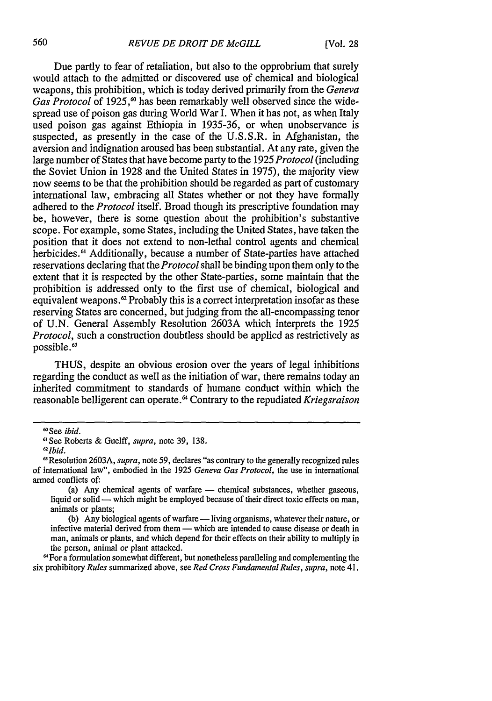Due partly to fear of retaliation, but also to the opprobrium that surely would attach to the admitted or discovered use of chemical and biological weapons, this prohibition, which is today derived primarily from the *Geneva Gas Protocol* of 1925,<sup>60</sup> has been remarkably well observed since the widespread use of poison gas during World War I. When it has not, as when Italy used poison gas against Ethiopia in 1935-36, or when unobservance is suspected, as presently in the case of the U.S.S.R. in Afghanistan, the aversion and indignation aroused has been substantial. At any rate, given the large number of States that have become party to the 1925 *Protocol* (including the Soviet Union in 1928 and the United States in 1975), the majority view now seems to be that the prohibition should be regarded as part of customary international law, embracing all States whether or not they have formally adhered to the *Protocol* itself. Broad though its prescriptive foundation may be, however, there is some question about the prohibition's substantive scope. For example, some States, including the United States, have taken the position that it does not extend to non-lethal control agents and chemical herbicides.<sup>61</sup> Additionally, because a number of State-parties have attached reservations declaring that the *Protocol* shall be binding upon them only to the extent that it is respected by the other State-parties, some maintain that the prohibition is addressed only to the first use of chemical, biological and equivalent weapons.<sup>62</sup> Probably this is a correct interpretation insofar as these reserving States are concerned, but judging from the all-encompassing tenor of U.N. General Assembly Resolution 2603A which interprets the 1925 *Protocol,* such a construction doubtless should be applied as restrictively as possible.<sup>63</sup>

THUS, despite an obvious erosion over the years of legal inhibitions regarding the conduct as well as the initiation of war, there remains today an inherited commitment to standards of humane conduct within which the reasonable belligerent can operate.6 Contrary to the repudiated *Kriegsraison*

<sup>&#</sup>x27; 0 See *ibid.*

<sup>&</sup>quot;See Roberts & Guelff, *supra,* note 39, 138. *<sup>62</sup>Ibid.*

<sup>6</sup> 'Resolution 2603A, *supra,* note 59, declares "as contrary to the generally recognized rules of international law", embodied in the 1925 *Geneva Gas Protocol,* the use in international armed conflicts of:

<sup>(</sup>a) Any chemical agents of warfare  $-$  chemical substances, whether gaseous, liquid or solid — which might be employed because of their direct toxic effects on man, animals or plants;

<sup>(</sup>b) Any biological agents of warfare — living organisms, whatever their nature, or infective material derived from them - which are intended to cause disease or death in man, animals or plants, and which depend for their effects on their ability to multiply in the person, animal or plant attacked.

For a formulation somewhat different, but nonetheless paralleling and complementing the six prohibitory *Rules* summarized above, see *Red Cross Fundamental Rules, supra,* note 41.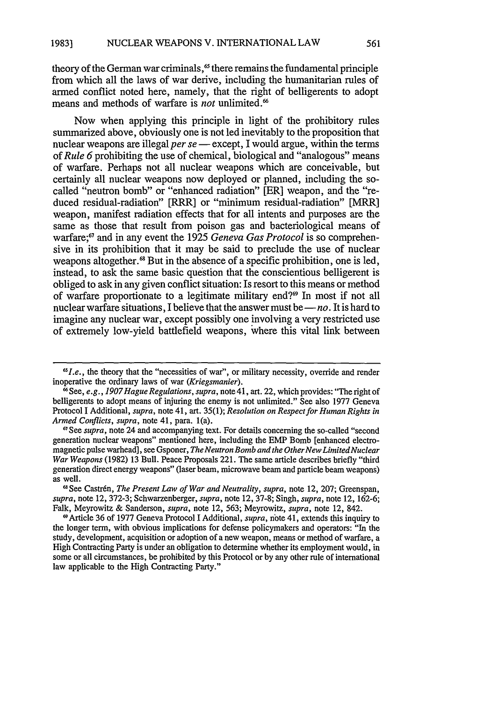theory of the German war criminals,<sup>65</sup> there remains the fundamental principle from which all the laws of war derive, including the humanitarian rules of armed conflict noted here, namely, that the right of belligerents to adopt means and methods of warfare is *not* unlimited.<sup>66</sup>

Now when applying this principle in light of the prohibitory rules summarized above, obviously one is not led inevitably to the proposition that nuclear weapons are illegal *per se* — except, I would argue, within the terms *of Rule 6* prohibiting the use of chemical, biological and "analogous" means of warfare. Perhaps not all nuclear weapons which are conceivable, but certainly all nuclear weapons now deployed or planned, including the socalled "neutron bomb" or "enhanced radiation" [ER] weapon, and the "reduced residual-radiation" [RRR] or "minimum residual-radiation" [MRR] weapon, manifest radiation effects that for all intents and purposes are the same as those that result from poison gas and bacteriological means of warfare;" and in any event the 1925 *Geneva Gas Protocol* is so comprehensive in its prohibition that it may be said to preclude the use of nuclear weapons altogether.<sup>68</sup> But in the absence of a specific prohibition, one is led, instead, to ask the same basic question that the conscientious belligerent is obliged to ask in any given conflict situation: Is resort to this means or method of warfare proportionate to a legitimate military end?69 In most if not all nuclear warfare situations, I believe that the answer must be - *no*. It is hard to imagine any nuclear war, except possibly one involving a very restricted use of extremely low-yield battlefield weapons, where this vital link between

*<sup>6</sup>I.e.,* the theory that the "necessities of war", or military necessity, override and render inoperative the ordinary laws of war *(Kriegsmanier).*

<sup>6</sup>See, *e.g., 1907Hague Regulations, supra,* note 41, art. 22, which provides: "The right of belligerents to adopt means of injuring the enemy is not unlimited." See also 1977 Geneva Protocol I Additional, *supra,* note 41, art. 35(1); *Resolution on Respect for Human Rights in Armed Conflicts, supra, note 41, para. 1(a).* 

See *supra,* note 24 and accompanying text. For details concerning the so-called "second generation nuclear weapons" mentioned here, including the EMP Bomb [enhanced electromagnetic pulse warhead], see Gsponer, *The Neutron Bomb and the Other New Limited Nuclear War Weapons* (1982) 13 Bull. Peace Proposals 221. The same article describes briefly "third generation direct energy weapons" (laser beam, microwave beam and particle beam weapons) as well.

<sup>&</sup>lt;sup>68</sup> See Castrén, *The Present Law of War and Neutrality, supra, note 12, 207; Greenspan, supra,* note 12, 372-3; Schwarzenberger, *supra,* note 12, 37-8; Singh, *supra,* note 12, 162-6; Falk, Meyrowitz & Sanderson, *supra,* note 12, 563; Meyrowitz, *supra,* note 12, 842.

<sup>6</sup>Article 36 of **1977** Geneva Protocol I Additional, *supra,* note 41, extends this inquiry to the longer term, with obvious implications for defense policymakers and operators: "In the study, development, acquisition or adoption of a new weapon, means or method of warfare, a High Contracting Party is under an obligation to determine whether its employment would, in some or all circumstances, be prohibited **by** this Protocol or **by** any other rule of international law applicable to the High Contracting Party."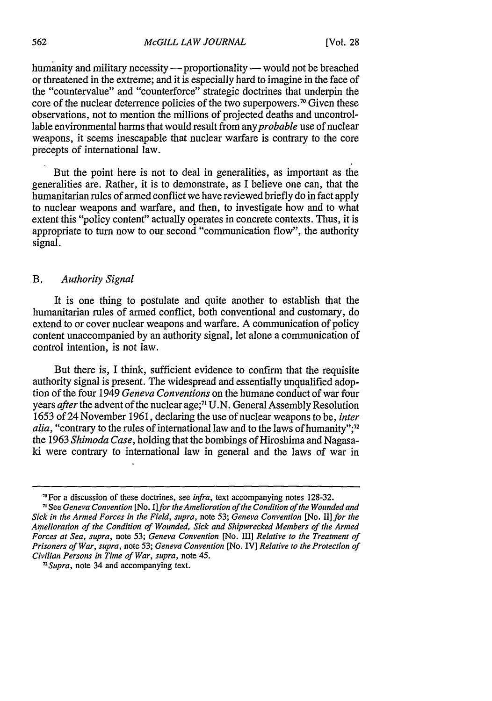humanity and military necessity — proportionality — would not be breached or threatened in the extreme; and it is especially hard to imagine in the face of the "countervalue" and "counterforce" strategic doctrines that underpin the core of the nuclear deterrence policies of the two superpowers.<sup>10</sup> Given these observations, not to mention the millions of projected deaths and uncontrollable environmental harms that would result from *any probable* use of nuclear weapons, it seems inescapable that nuclear warfare is contrary to the core precepts of international law.

But the point here is not to deal in generalities, as important as the generalities are. Rather, it is to demonstrate, as I believe one can, that the humanitarian rules of armed conflict we have reviewed briefly do in fact apply to nuclear weapons and warfare, and then, to investigate how and to what extent this "policy content" actually operates in concrete contexts. Thus, it is appropriate to turn now to our second "communication flow", the authority signal.

### B. *Authority Signal*

It is one thing to postulate and quite another to establish that the humanitarian rules of armed conflict, both conventional and customary, do extend to or cover nuclear weapons and warfare. A communication of policy content unaccompanied by an authority signal, let alone a communication of control intention, is not law.

But there is, I think, sufficient evidence to confirm that the requisite authority signal is present. The widespread and essentially unqualified adoption of the four 1949 *Geneva Conventions* on the humane conduct of war four years *after* the advent of the nuclear age;<sup>71</sup> U.N. General Assembly Resolution 1653 of 24 November 1961, declaring the use of nuclear weapons to be, *inter alia*, "contrary to the rules of international law and to the laws of humanity";<sup>12</sup> the 1963 *Shimoda Case,* holding that the bombings of Hiroshima and Nagasaki were contrary to international law in general and the laws of war in

<sup>7</sup> "For a discussion of these doctrines, see *infra,* text accompanying notes 128-32.

**<sup>71</sup>***See Geneva Convention* [No. *I]for the Amelioration of the Condition of the Wounded and Sick in the Armed Forces in the Field, supra,* note 53; Geneva Convention [No. *II] for the Amelioration of the Condition of Wounded, Sick and Shipwrecked Members of the Armed Forces at Sea, supra,* note *53; Geneva Convention* [No. *11] Relative to the Treatment of Prisoners of War, supra,* note 53; *Geneva Convention* [No. IV] *Relative to the Protection of Civilian Persons in Time of War, supra,* note 45.

*<sup>7</sup>Supra,* note 34 and accompanying text.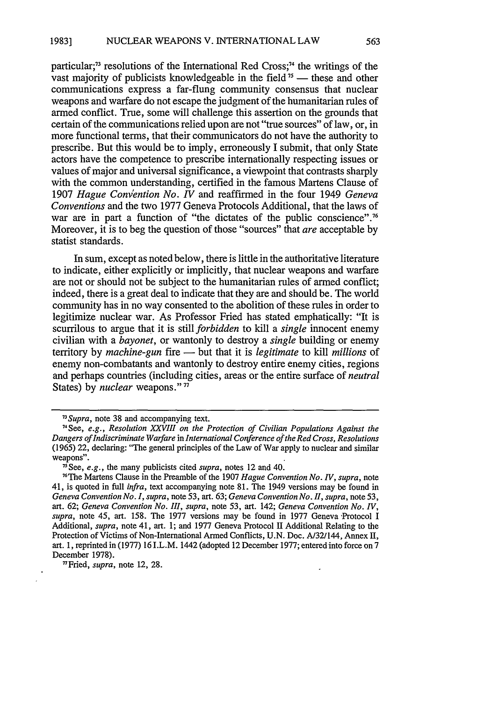particular;<sup>73</sup> resolutions of the International Red Cross;<sup>74</sup> the writings of the vast majority of publicists knowledgeable in the field<sup>75</sup> — these and other communications express a far-flung community consensus that nuclear weapons and warfare do not escape the judgment of the humanitarian rules of armed conflict. True, some will challenge this assertion on the grounds that certain of the communications relied upon are not "true sources" of law, or, in more functional terms, that their communicators do not have the authority to prescribe. But this would be to imply, erroneously **I** submit, that only State actors have the competence to prescribe internationally respecting issues or values of major and universal significance, a viewpoint that contrasts sharply with the common understanding, certified in the famous Martens Clause of **1907** *Hague Convention No. IV* and reaffirmed in the four 1949 *Geneva Conventions* and the two **1977** Geneva Protocols Additional, that the laws of war are in part a function of "the dictates of the public conscience".<sup>76</sup> Moreover, it is to beg the question of those "sources" that *are* acceptable **by** statist standards.

In sum, except as noted below, there is little in the authoritative literature to indicate, either explicitly or implicitly, that nuclear weapons and warfare are not or should not be subject to the humanitarian rules of armed conflict; indeed, there is a great deal to indicate that they are and should be. The world community has in no way consented to the abolition of these rules in order to legitimize nuclear war. As Professor Fried has stated emphatically: "It is scurrilous to argue that it is still *forbidden* to kill a *single* innocent enemy civilian with a *bayonet,* or wantonly to destroy a *single* building or enemy territory **by** *machine-gun fire* **-** but that it is *legitimate* to kill *millions* of enemy non-combatants and wantonly to destroy entire enemy cities, regions and perhaps countries (including cities, areas or the entire surface of *neutral* States) **by** *nuclear* weapons." <sup>77</sup>

"Fried, *supra,* note 12, **28.**

*<sup>7</sup> Supra,* note **38** and accompanying text.

<sup>74</sup> See, *e.g., Resolution XXVIII on the Protection of Civilian Populations Against the Dangers of Indiscriminate Warfare* in *International Conference of the Red Cross, Resolutions* **(1965)** 22, declaring: **"The** general principles of the Law of War apply to nuclear and similar weapons".

<sup>7</sup>See, *e.g.,* the many publicists cited *supra,* notes 12 and 40.

**<sup>76</sup>The** Martens Clause in the Preamble of the **1907** *Hague Convention No. IV, supra,* note 41, is quoted in full *infra,* text accompanying note **81.** The 1949 versions may be found in *Geneva Convention No. I, supra,* note **53,** art. **63;** *Geneva Convention No. II, supra,* note **53,** art. **62;** *Geneva Convention No. III, supra,* note **53,** art. 142; *Geneva Convention No. IV, supra,* note 45, art. **158.** The **1977** versions may be found in **1977** Geneva 'Protocol **I** Additional, *supra,* note 41, art. **1;** and **1977** Geneva Protocol **II** Additional Relating to the Protection of Victims of Non-International Armed Conflicts, **U.N.** Doc. A/32/144, Annex **II,** art. **1,** reprinted in **(1977) 16** I.L.M. 1442 (adopted 12 December **1977;** enteredinto force on **7** December **1978).**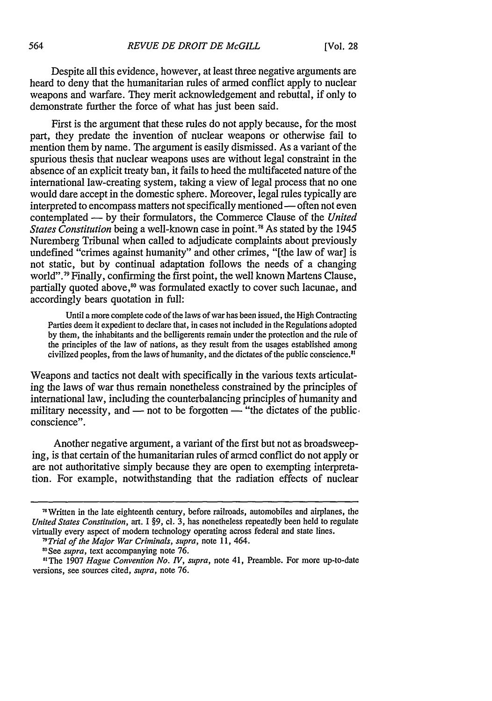Despite all this evidence, however, at least three negative arguments are heard to deny that the humanitarian rules of armed conflict apply to nuclear weapons and warfare. They merit acknowledgement and rebuttal, if only to demonstrate further the force of what has just been said.

First is the argument that these rules do not apply because, for the most part, they predate the invention of nuclear weapons or otherwise fail to mention them by name. The argument is easily dismissed. As a variant of the spurious thesis that nuclear weapons uses are without legal constraint in the absence of an explicit treaty ban, it fails to heed the multifaceted nature of the international law-creating system, taking a view of legal process that no one would dare accept in the domestic sphere. Moreover, legal rules typically are interpreted to encompass matters not specifically mentioned — often not even contemplated - by their formulators, the Commerce Clause of the *United States Constitution* being a well-known case in point.<sup>78</sup> As stated by the 1945 Nuremberg Tribunal when called to adjudicate complaints about previously undefined "crimes against humanity" and other crimes, "[the law of war] is not static, but by continual adaptation follows the needs of a changing world".79 Finally, confirming the first point, the well known Martens Clause, partially quoted above,<sup>80</sup> was formulated exactly to cover such lacunae, and accordingly bears quotation in full:

Until a more complete code of the laws of war has been issued, the High Contracting Parties deem it expedient to declare that, in cases not included in the Regulations adopted by them, the inhabitants and the belligerents remain under the protection and the rule of the principles of the law of nations, as they result from the usages established among civilized peoples, from the laws of humanity, and the dictates of the public conscience.<sup>8</sup>

Weapons and tactics not dealt with specifically in the various texts articulating the laws of war thus remain nonetheless constrained by the principles of international law, including the counterbalancing principles of humanity and military necessity, and  $-$  not to be forgotten  $-$  "the dictates of the public. conscience".

Another negative argument, a variant of the first but not as broadsweeping, is that certain of the humanitarian rules of armed conflict do not apply or are not authoritative simply because they are open to exempting interpretation. For example, notwithstanding that the radiation effects of nuclear

<sup>&</sup>lt;sup>78</sup> Written in the late eighteenth century, before railroads, automobiles and airplanes, the *United States Constitution,* art. I §9, cl. 3, has nonetheless repeatedly been held to regulate virtually every aspect of modem technology operating across federal and state lines.

*<sup>7</sup>Trial of the Major War Criminals, supra,* note 11, 464.

*<sup>&#</sup>x27;See supra,* text accompanying note 76.

<sup>&</sup>lt;sup>81</sup>The 1907 *Hague Convention No. IV, supra,* note 41, Preamble. For more up-to-date versions, see sources cited, *supra,* note 76.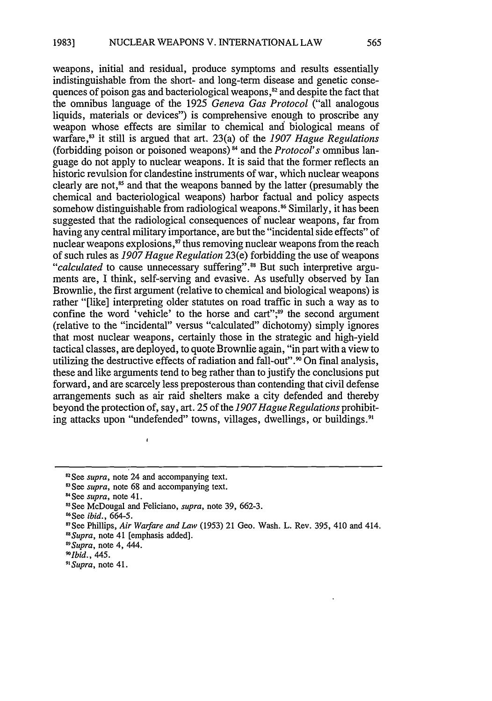weapons, initial and residual, produce symptoms and results essentially indistinguishable from the short- and long-term disease and genetic consequences of poison gas and bacteriological weapons,<sup>82</sup> and despite the fact that the omnibus language of the 1925 *Geneva Gas Protocol* ("all analogous liquids, materials or devices") is comprehensive enough to proscribe any weapon whose effects are similar to chemical and biological means of warfare,83 it still is argued that art. 23(a) of the *1907 Hague Regulations* (forbidding poison or poisoned weapons) **I** and the *Protocol's* omnibus language do not apply to nuclear weapons. It is said that the former reflects an historic revulsion for clandestine instruments of war, which nuclear weapons clearly are not,<sup>85</sup> and that the weapons banned by the latter (presumably the chemical and bacteriological weapons) harbor factual and policy aspects somehow distinguishable from radiological weapons.<sup>86</sup> Similarly, it has been suggested that the radiological consequences of nuclear weapons, far from having any central military importance, are but the "incidental side effects" of nuclear weapons explosions,<sup>87</sup> thus removing nuclear weapons from the reach of such rules as  $1907$  Hague Regulation 23(e) forbidding the use of weapons "calculated to cause unnecessary suffering".<sup>38</sup> But such interpretive arguments are, I think, self-serving and evasive. As usefully observed by Ian Brownlie, the first argument (relative to chemical and biological weapons) is rather "[like] interpreting older statutes on road traffic in such a way as to confine the word 'vehicle' to the horse and cart"; $\delta$ <sup>9</sup> the second argument (relative to the "incidental" versus "calculated" dichotomy) simply ignores that most nuclear weapons, certainly those in the strategic and high-yield tactical classes, are deployed, to quote Brownlie again, "in part with a view to utilizing the destructive effects of radiation and fall-out". 9° On final analysis, these and like arguments tend to beg rather than to justify the conclusions put forward, and are scarcely less preposterous than contending that civil defense arrangements such as air raid shelters make a city defended and thereby beyond the protection of, say, art. 25 of the *1907 Hague Regulations* prohibiting attacks upon "undefended" towns, villages, dwellings, or buildings.<sup>91</sup>

*I'Supra,* note 41 [emphasis added].

*Ibid., 445. 9"Supra,* note 41.

<sup>&</sup>lt;sup>82</sup> See *supra*, note 24 and accompanying text.

<sup>&</sup>lt;sup>83</sup> See *supra*, note 68 and accompanying text. *1 See supra,* note 41.

<sup>&</sup>lt;sup>85</sup> See McDougal and Feliciano, *supra*, note 39, 662-3.

<sup>16</sup>See *ibid., 664-5.*

<sup>&</sup>quot;See Phillips, *Air Warfare and Law* (1953) 21 Geo. Wash. L. Rev. 395, 410 and 414.

*<sup>19</sup>Supra,* note 4, 444.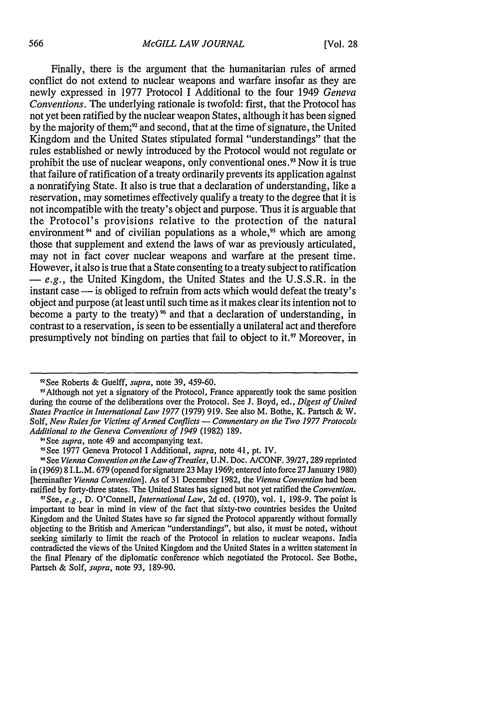Finally, there is the argument that the humanitarian rules of armed conflict do not extend to nuclear weapons and warfare insofar as they are newly expressed in 1977 Protocol I Additional to the four 1949 *Geneva Conventions.* The underlying rationale is twofold: first, that the Protocol has not yet been ratified by the nuclear weapon States, although it has been signed by the majority of them;<sup>92</sup> and second, that at the time of signature, the United Kingdom and the United States stipulated formal "understandings" that the rules established or newly introduced by the Protocol would not regulate or prohibit the use of nuclear weapons, only conventional ones.93 Now it is true that failure of ratification of a treaty ordinarily prevents its application against a nonratifying State. It also is true that a declaration of understanding, like a reservation, may sometimes effectively qualify a treaty to the degree that it is not incompatible with the treaty's object and purpose. Thus it is arguable that the Protocol's provisions relative to the protection of the natural environment<sup> $94$ </sup> and of civilian populations as a whole,<sup> $95$ </sup> which are among those that supplement and extend the laws of war as previously articulated, may not in fact cover nuclear weapons and warfare at the present time. However, it also is true that a State consenting to a treaty subject to ratification  $-e.g.,$  the United Kingdom, the United States and the U.S.S.R. in the instant case — is obliged to refrain from acts which would defeat the treaty's object and purpose (at least until such time as it makes clear its intention not to become a party to the treaty) **96** and that a declaration of understanding, in contrast to a reservation, is seen to be essentially a unilateral act and therefore presumptively not binding on parties that fail to object to it.<sup>97</sup> Moreover, in

<sup>&</sup>quot;See Roberts & Guelff, *supra,* note 39, 459-60.

<sup>&</sup>lt;sup>93</sup> Although not yet a signatory of the Protocol, France apparently took the same position during the course of the deliberations over the Protocol. See **J.** Boyd, ed., *Digest of United States Practice in International Law 1977* (1979) 919. See also M. Bothe, K. Partsch & W. Solf, *New Rules for Victims of Armed Conflicts*  $-$  *Commentary on the Two 1977 Protocols Additional to the Geneva Conventions of 1949* (1982) 189.

*<sup>94</sup>See supra,* note 49 and accompanying text.

<sup>9&</sup>quot;See 1977 Geneva Protocol I Additional, *supra,* note 41, pt. IV.

<sup>&</sup>quot;See *Vienna Convention on the Law of Treaties,* U.N. Doc. A/CONF. 39/27,289 reprinted in (1969) 8 I.L.M. 679 (opened for signature 23 May 1969; entered into force 27 January 1980) [hereinafter *Vienna Convention].* As of 31 December 1982, the *Vienna Convention* had been ratified by forty-three states. The United States has signed but not yet ratified the *Convention.*

<sup>&</sup>quot;7See, *e.g.,* D. O'Connell, *International Law,* 2d ed. (1970), vol. 1, 198-9. The point is important to bear in mind in view of the fact that sixty-two countries besides the United Kingdom and the United States have so far signed the Protocol apparently without formally objecting to the British and American "understandings", but also, it must be noted, without seeking similarly to limit the reach of the Protocol in relation to nuclear weapons. India contradicted the views of the United Kingdom and the United States in a written statement in the final Plenary of the diplomatic conference which negotiated the Protocol. See Bothe, Partsch & Solf, *supra,* note 93, 189-90.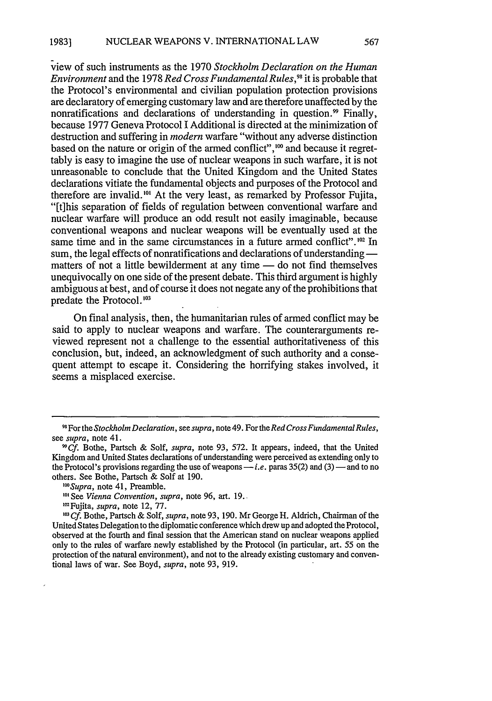view of such instruments as the 1970 *Stockholm Declaration on the Human Environment* and the 1978 *Red Cross Fundamental Rules*,<sup>98</sup> it is probable that the Protocol's environmental and civilian population protection provisions are declaratory of emerging customary law and are therefore unaffected by the nonratifications and declarations of understanding in question.<sup>99</sup> Finally, because 1977 Geneva Protocol I Additional is directed at the minimization of destruction and suffering in *modern* warfare "without any adverse distinction based on the nature or origin of the armed conflict",<sup>100</sup> and because it regrettably is easy to imagine the use of nuclear weapons in such warfare, it is not unreasonable to conclude that the United Kingdom and the United States declarations vitiate the fundamental objects and purposes of the Protocol and therefore are invalid.'0' At the very least, as remarked by Professor Fujita, "[t]his separation of fields of regulation between conventional warfare and nuclear warfare will produce an odd result not easily imaginable, because conventional weapons and nuclear weapons will be eventually used at the same time and in the same circumstances in a future armed conflict".  $102$  In sum, the legal effects of nonratifications and declarations of understanding  matters of not a little bewilderment at any time  $-$  do not find themselves unequivocally on one side of the present debate. This third argument is highly ambiguous at best, and of course it does not negate any of the prohibitions that predate the Protocol.<sup>103</sup>

On final analysis, then, the humanitarian rules of armed conflict may be said to apply to nuclear weapons and warfare. The counterarguments reviewed represent not a challenge to the essential authoritativeness of this conclusion, but, indeed, an acknowledgment of such authority and a consequent attempt to escape it. Considering the horrifying stakes involved, it seems a misplaced exercise.

<sup>&</sup>quot;For the *Stockholm Declaration,* see *supra,* note 49. For theRed *Cross FundamentalRules,* see *supra,* note 41.

*<sup>&</sup>quot;Cf.* Bothe, Partsch & Solf, *supra,* note 93, 572. It appears, indeed, that the United Kingdom and United States declarations of understanding were perceived as extending only to the Protocol's provisions regarding the use of weapons  $-i.e.$  paras 35(2) and (3) — and to no others. See Bothe, Partsch & Solf at 190.<br><sup>100</sup> Supra, note 41, Preamble.

*<sup>&</sup>quot;'See Vienna Convention, supra,* note 96, art. 19.

<sup>102</sup>Fujita, *supra,* note 12, 77.

<sup>&</sup>lt;sup>103</sup> Cf. Bothe, Partsch & Solf, *supra*, note 93, 190. Mr George H. Aldrich, Chairman of the United States Delegation to the diplomatic conference which drew up and adopted the Protocol, observed at the fourth and final session that the American stand on nuclear weapons applied only to the rules of warfare newly established by the Protocol (in particular, art. 55 on the protection of the natural environment), and not to the already existing customary and conventional laws of war. See Boyd, *supra,* note 93, 919.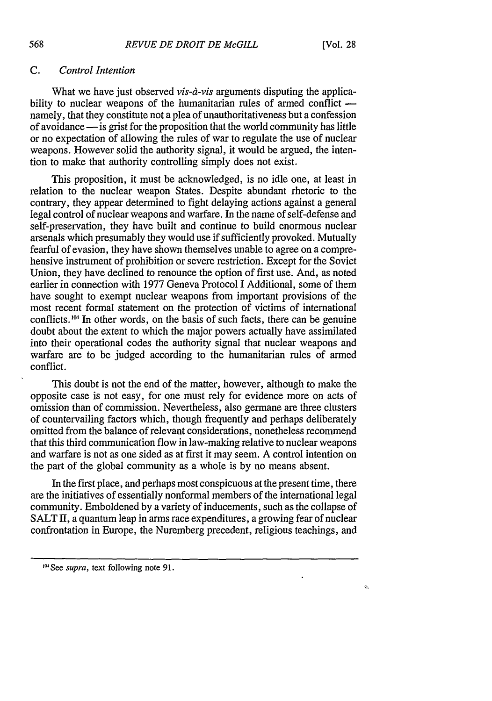$\hat{Q}$ 

## C. *Control Intention*

What we have just observed *vis-d-vis* arguments disputing the applicability to nuclear weapons of the humanitarian rules of armed conflict  namely, that they constitute not a plea of unauthoritativeness but a confession of avoidance - is grist for the proposition that the world community has little or no expectation of allowing the rules of war to regulate the use of nuclear weapons. However solid the authority signal, it would be argued, the intention to make that authority controlling simply does not exist.

This proposition, it must be acknowledged, is no idle one, at least in relation to the nuclear weapon States. Despite abundant rhetoric to the contrary, they appear determined to fight delaying actions against a general legal control of nuclear weapons and warfare. In the name of self-defense and self-preservation, they have built and continue to build enormous nuclear arsenals which presumably they would use if sufficiently provoked. Mutually fearful of evasion, they have shown themselves unable to agree on a comprehensive instrument of prohibition or severe restriction. Except for the Soviet Union, they have declined to renounce the option of first use. And, as noted earlier in connection with 1977 Geneva Protocol I Additional, some of them have sought to exempt nuclear weapons from important provisions of the most recent formal statement on the protection of victims of international conflicts.<sup>104</sup> In other words, on the basis of such facts, there can be genuine doubt about the extent to which the major powers actually have assimilated into their operational codes the authority signal that nuclear weapons and warfare are to be judged according to the humanitarian rules of armed conflict.

This doubt is not the end of the matter, however, although to make the opposite case is not easy, for one must rely for evidence more on acts of omission than of commission. Nevertheless, also germane are three clusters of countervailing factors which, though frequently and perhaps deliberately omitted from the balance of relevant considerations, nonetheless recommend that this third communication flow in law-making relative to nuclear weapons and warfare is not as one sided as at first it may seem. A control intention on the part of the global community as a whole is by no means absent.

In the first place, and perhaps most conspicuous at the present time, there are the initiatives of essentially nonformal members of the international legal community. Emboldened by a variety of inducements, such as the collapse of SALT II, a quantum leap in arms race expenditures, a growing fear of nuclear confrontation in Europe, the Nuremberg precedent, religious teachings, and

568

*<sup>&</sup>quot;'"See supra,* text following note **91.**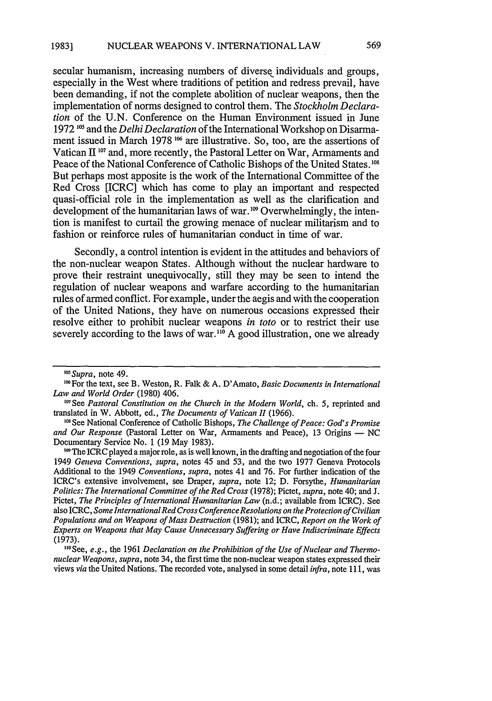secular humanism, increasing numbers of diverse individuals and groups, especially in the West where traditions of petition and redress prevail, have been demanding, if not the complete abolition of nuclear weapons, then the implementation of norms designed to control them. The *Stockholm Declaration* of the U.N. Conference on the Human Environment issued in June 1972 **05** and the *Delhi Declaration* of the International Workshop on Disarmament issued in March 1978 <sup>106</sup> are illustrative. So, too, are the assertions of Vatican  $II<sup>107</sup>$  and, more recently, the Pastoral Letter on War, Armaments and Peace of the National Conference of Catholic Bishops of the United States.<sup>108</sup> But perhaps most apposite is the work of the International Committee of the Red Cross [ICRC] which has come to play an important and respected quasi-official role in the implementation as well as the clarification and development of the humanitarian laws of war."° Overwhelmingly, the intention is manifest to curtail the growing menace of nuclear militarism and to fashion or reinforce rules of humanitarian conduct in time of war.

Secondly, a control intention is evident in the attitudes and behaviors of the non-nuclear weapon States. Although without the nuclear hardware to prove their restraint unequivocally, still they may be seen to intend the regulation of nuclear weapons and warfare according to the humanitarian rules of armed conflict. For example, under the aegis and with the cooperation of the United Nations, they have on numerous occasions expressed their resolve either to prohibit nuclear weapons *in toto* or to restrict their use severely according to the laws of war.<sup>110</sup> A good illustration, one we already

*<sup>&</sup>quot;'Supra,* note 49.

<sup>&</sup>lt;sup>106</sup> For the text, see B. Weston, R. Falk & A. D'Amato, *Basic Documents in International Law and World Order* (1980) 406.

<sup>107</sup> See *Pastoral Constitution on the Church in the Modern World*, ch. 5, reprinted and translated in W. Abbott, ed., *The Documents of Vatican 1I* (1966).

**<sup>&#</sup>x27; <sup>08</sup>**See National Conference of Catholic Bishops, *The Challenge of Peace: God's Promise and Our Response* (Pastoral Letter on War, Armaments and Peace), 13 Origins - NC Documentary Service No. 1 (19 May 1983).

<sup>&</sup>lt;sup>169</sup> The ICRC played a major role, as is well known, in the drafting and negotiation of the four 1949 *Geneva Conventions, supra,* notes 45 and 53, and the two 1977 Geneva Protocols Additional to the 1949 *Conventions, supra,* notes 41 and 76. For further indication of the ICRC's extensive involvement, see Draper, *supra,* note 12; D. Forsythe, *Humanitarian Politics: The International Committee of the Red Cross* (1978); Pictet, *supra,* note 40; and J. Pictet, *The Principles of International Humanitarian Law* (n.d.; available from ICRC). See also ICRC, Some International Red Cross Conference Resolutions on the Protection of Civilian *Populations and on Weapons of Mass Destruction* (1981); and ICRC, *Report on the Work of Experts on Weapons that May Cause Unnecessary Suffering or Have Indiscriminate Effects* (1973).

<sup>&</sup>lt;sup>10</sup> See, *e.g.*, the 1961 Declaration on the Prohibition of the Use of Nuclear and Thermo*nuclear Weapons, supra,* note 34, the first time the non-nuclear weapon states expressed their views *via* the United Nations. The recorded vote, analysed in some detail *infra,* note 111, was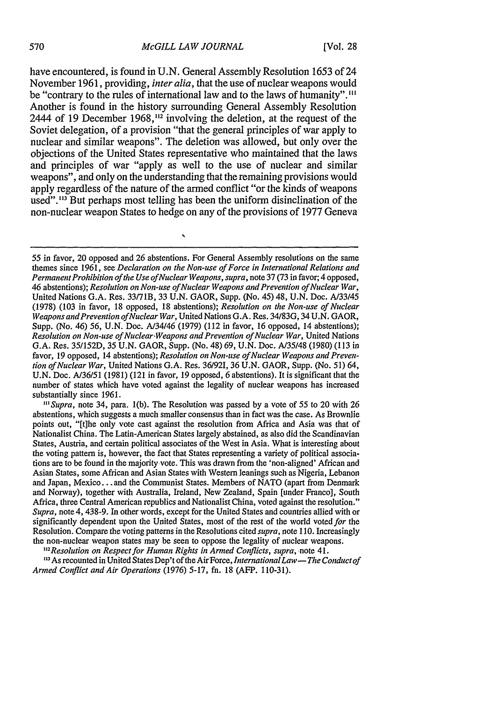have encountered, is found in U.N. General Assembly Resolution 1653 of 24 November 1961, providing, *inter alia,* that the use of nuclear weapons would be "contrary to the rules of international law and to the laws of humanity".<sup>111</sup> Another is found in the history surrounding General Assembly Resolution 2444 of 19 December **1968,112** involving the deletion, at the request of the Soviet delegation, of a provision "that the general principles of war apply to nuclear and similar weapons". The deletion was allowed, but only over the objections of the United States representative who maintained that the laws and principles of war "apply as well to the use of nuclear and similar weapons", and only on the understanding that the remaining provisions would apply regardless of the nature of the armed conflict "or the kinds of weapons used".<sup>113</sup> But perhaps most telling has been the uniform disinclination of the non-nuclear weapon States to hedge on any of the provisions of 1977 Geneva

*1"Supra,* note 34, para. l(b). The Resolution was passed by a vote of 55 to 20 with 26 abstentions, which suggests a much smaller consensus than in fact was the case. As Brownlie points out, "[t]he only vote cast against the resolution from Africa and Asia was that of Nationalist China. The Latin-American States largely abstained, as also did the Scandinavian States, Austria, and certain political associates of the West in Asia. What is interesting about the voting pattern is, however, the fact that States representing a variety of political associations are to be found in the majority-vote. This was drawn from the 'non-aligned' African and Asian States, some African and Asian States with Western leanings such as Nigeria, Lebanon and Japan, Mexico **...** and the Communist States. Members of NATO (apart from Denmark and Norway), together with Australia, Ireland, New Zealand, Spain [under Franco], South Africa, three Central American republics and Nationalist China, voted against the resolution." *Supra,* note 4, 438-9. In other words, except for the United States and countries allied with or significantly dependent upon the United States, most of the rest of the world *voted for* the Resolution. Compare the voting patterns in the Resolutions cited *supra,* note 110. Increasingly the non-nuclear weapon states may be seen to oppose the legality of nuclear weapons. *<sup>1</sup> <sup>12</sup>*

<sup>112</sup> Resolution on Respect for Human Rights in Armed Conflicts, supra, note 41.

<sup>113</sup> As recounted in United States Dep't of the Air Force, *International Law*— The Conduct of *Armed Conflict andAir Operations* (1976) 5-17, fn. 18 (AFP. 110-31).

<sup>55</sup> in favor, 20 opposed and 26 abstentions. For General Assembly resolutions on the same themes since 1961, see *Declaration on the Non-use of Force in International Relations and Permanent Prohibition of the Use ofNuclear Weapons, supra,* note 37 (73 in favor; 4 opposed, 46 abstentions); *Resolution on Non-use of Nuclear Weapons and Prevention of Nuclear War,* United Nations G.A. Res. 33/71B, 33 U.N. GAOR, Supp. (No. *45)* 48, U.N. Doe. *A/33/45* (1978) (103 in favor, 18 opposed, 18 abstentions); *Resolution on the Non-use of Nuclear Weapons and Prevention of Nuclear War, United Nations G.A. Res. 34/83G, 34 U.N. GAOR,* Supp. (No. 46) 56, U.N. Doc. A/34/46 (1979) (112 in favor, 16 opposed, 14 abstentions); *Resolution on Non-use of Nuclear.Weapons and Prevention of Nuclear War,* United Nations G.A. Res. 35/152D, 35 U.N. GAOR, Supp. (No. 48) 69, U.N. Doc. *A/35/48* (1980) (113 in favor, 19 opposed, 14 abstentions); *Resolution on Non-use of Nuclear Weapons and Prevention of Nuclear War,* United Nations G.A. Res. 36/921, 36 U.N. GAOR, Supp. (No. *51)* 64, U.N. Doc. A/36/51 (1981) (121 in favor, 19 opposed, 6 abstentions). It is significant that the number of states which have voted against the legality of nuclear weapons has increased substantially since 1961.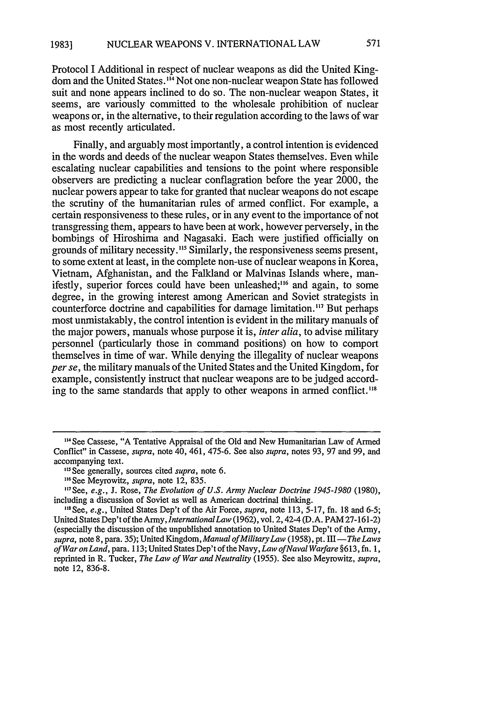Protocol I Additional in respect of nuclear weapons as did the United Kingdom and the United States. 14 Not one non-nuclear weapon State has followed suit and none appears inclined to do so. The non-nuclear weapon States, it seems, are variously committed to the wholesale prohibition of nuclear weapons or, in the alternative, to their regulation according to the laws of war as most recently articulated.

Finally, and arguably most importantly, a control intention is evidenced in the words and deeds of the nuclear weapon States themselves. Even while escalating nuclear capabilities and tensions to the point where responsible observers are predicting a nuclear conflagration before the year 2000, the nuclear powers appear to take for granted that nuclear weapons do not escape the scrutiny of the humanitarian rules of armed conflict. For example, a certain responsiveness to these rules, or in any event to the importance of not transgressing them, appears to have been at work, however perversely, in the bombings of Hiroshima and Nagasaki. Each were justified officially on grounds of military necessity.<sup>115</sup> Similarly, the responsiveness seems present, to some extent at least, in the complete non-use of nuclear weapons in Korea, Vietnam, Afghanistan, and the Falkland or Malvinas Islands where, manifestly, superior forces could have been unleashed;<sup>116</sup> and again, to some degree, in the growing interest among American and Soviet strategists in counterforce doctrine and capabilities for damage limitation.<sup>117</sup> But perhaps most unmistakably, the control intention is evident in the military manuals of the major powers, manuals whose purpose it is, *inter alia,* to advise military personnel (particularly those in command positions) on how to comport themselves in time of war. While denying the illegality of nuclear weapons *per se,* the military manuals of the United States and the United Kingdom, for example, consistently instruct that nuclear weapons are to be judged according to the same standards that apply to other weapons in armed conflict.<sup>118</sup>

**<sup>&</sup>quot;"** See Cassese, "A Tentative Appraisal of the Old and New Humanitarian Law of Armed Conflict" in Cassese, *supra,* note 40, 461, 475-6. See also *supra,* notes 93, 97 and 99, and accompanying text.

<sup>&</sup>lt;sup>115</sup> See generally, sources cited *supra*, note 6.

<sup>&</sup>lt;sup>116</sup> See Meyrowitz, *supra*, note 12, 835.

<sup>&</sup>lt;sup>117</sup> See, *e.g., J. Rose, The Evolution of U.S. Army Nuclear Doctrine 1945-1980* (1980), including a discussion of Soviet as well as American doctrinal thinking.

<sup>&</sup>lt;sup>118</sup> See, *e.g.*, United States Dep't of the Air Force, *supra*, note 113, 5-17, fn. 18 and 6-5; United States Dep'tof the Army, *International Law* (1962), vol. 2,42-4 (D.A. PAM 27-161-2) (especially the discussion of the unpublished annotation to United States Dep't of the Army, *supra,* note 8, para. 35); United Kingdom, *Manual ofMilitaryLaw* (1958), pt. III *-The Laws of WaronLand,* para. 113; United States Dep't of the Navy, *Law of Naval Warfare* §613, fn. 1, reprinted in R. Tucker, *The Law of War and Neutrality* (1955). See also Meyrowitz, *supra,* note 12, 836-8.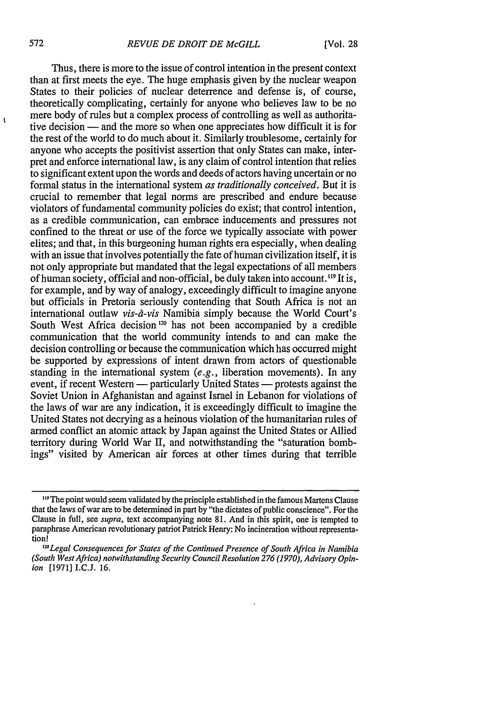Thus, there is more to the issue of control intention in the present context than at first meets the eye. The huge emphasis given by the nuclear weapon States to their policies of nuclear deterrence and defense is, of course, theoretically complicating, certainly for anyone who believes law to be no mere body of rules but a complex process of controlling as well as authoritative decision — and the more so when one appreciates how difficult it is for the rest of the world to do much about it. Similarly troublesome, certainly for anyone who accepts the positivist assertion that only States can make, interpret and enforce international law, is any claim of control intention that relies to significant extent upon the words and deeds of actors having uncertain or no formal status in the international system *as traditionally conceived.* But it is crucial to remember that legal norms are prescribed and endure because violators of fundamental community policies do exist; that control intention, as a credible communication, can embrace inducements and pressures not confined to the threat or use of the force we typically associate with power elites; and that, in this burgeoning human rights era especially, when dealing with an issue that involves potentially the fate of human civilization itself, it is not only appropriate but mandated that the legal expectations of all members of human society, official and non-official, be duly taken into account." 9 It is, for example, and by way of analogy, exceedingly difficult to imagine anyone but officials in Pretoria seriously contending that South Africa is not an international outlaw *vis-d-vis* Namibia simply because the World Court's South West Africa decision **120** has not been accompanied by a credible communication that the world community intends to and can make the decision controlling or because the communication which has occurred might be supported by expressions of intent drawn from actors of questionable standing in the international system *(e.g.,* liberation movements). In any event, if recent Western - particularly United States - protests against the Soviet Union in Afghanistan and against Israel in Lebanon for violations of the laws of war are any indication, it is exceedingly difficult to imagine the United States not decrying as a heinous violation of the humanitarian rules of armed conflict an atomic attack by Japan against the United States or Allied territory during World War II, and notwithstanding the "saturation bombings" visited by American air forces at other times during that terrible

 $\mathbf{I}$ 

*<sup>19</sup>*The point would seem validated by the principle established in the famous Martens Clause that the laws of war are to be determined in part by "the dictates of public conscience". For the Clause in full, see *supra,* text accompanying note 81. And in this spirit, one is tempted to paraphrase American revolutionary patriot Patrick Henry: No incineration without representation!

*<sup>&#</sup>x27; 2"Legal Consequences for States of the Continued Presence of South Africa in Namibia (South West Africa) notvithstanding Security Council Resolution 276 (1970), Advisory Opinion* [1971] I.C.J. **16.**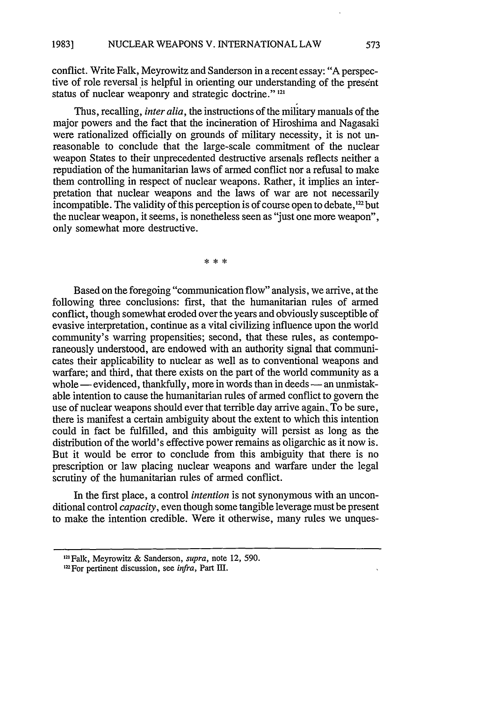conflict. Write Falk, Meyrowitz and Sanderson in a recent essay: "A perspective of role reversal is helpful in orienting our understanding of the present status of nuclear weaponry and strategic doctrine." **<sup>121</sup>**

Thus, recalling, *inter alia,* the instructions of the military manuals of the major powers and the fact that the incineration of Hiroshima and Nagasaki were rationalized officially on grounds of military necessity, it is not unreasonable to conclude that the large-scale commitment of the nuclear weapon States to their unprecedented destructive arsenals reflects neither a repudiation of the humanitarian laws of armed conflict nor a refusal to make them controlling in respect of nuclear weapons. Rather, it implies an interpretation that nuclear weapons and the laws of war are not necessarily incompatible. The validity of this perception is of course open to debate,  $^{122}$  but the nuclear weapon, it seems, is nonetheless seen as "just one more weapon", only somewhat more destructive.

 $* * *$ 

Based on the foregoing "communication flow" analysis, we arrive, at the following three conclusions: first, that the humanitarian rules of armed conflict, though somewhat eroded over the years and obviously susceptible of evasive interpretation, continue as a vital civilizing influence upon the world community's warring propensities; second, that these rules, as contemporaneously understood, are endowed with an authority signal that communicates their applicability to nuclear as well as to conventional weapons and warfare; and third, that there exists on the part of the world community as a whole — evidenced, thankfully, more in words than in deeds — an unmistakable intention to cause the humanitarian rules of armed conflict to govern the use of nuclear weapons should ever that terrible day arrive again. To be sure, there is manifest a certain ambiguity about the extent to which this intention could in fact be fulfilled, and this ambiguity will persist as long as the distribution of the world's effective power remains as oligarchic as it now is. But it would be error to conclude from this ambiguity that there is no prescription or law placing nuclear weapons and warfare under the legal scrutiny of the humanitarian rules of armed conflict.

In the first place, a control *intention* is not synonymous with an unconditional control *capacity,* even though some tangible leverage must be present to make the intention credible. Were it otherwise, many rules we unques-

<sup>&</sup>lt;sup>121</sup> Falk, Meyrowitz & Sanderson, *supra*, note 12, 590.

<sup>12</sup>For pertinent discussion, see *infra,* Part *II.*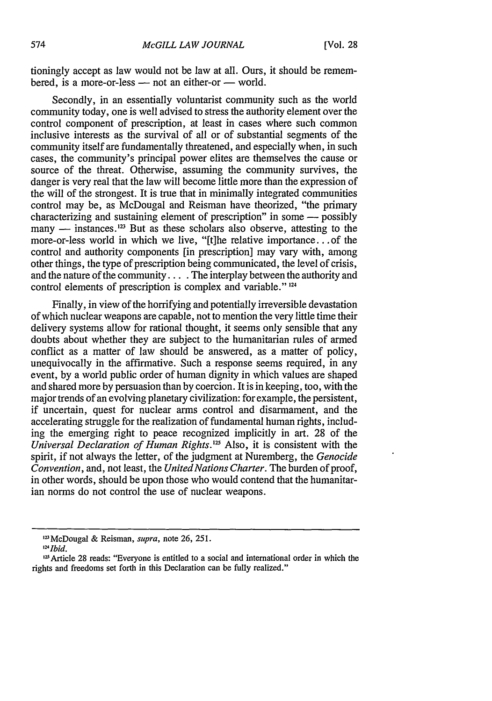tioningly accept as law would not be law at all. Ours, it should be remembered, is a more-or-less  $-$  not an either-or  $-$  world.

Secondly, in an essentially voluntarist community such as the world community today, one is well advised to stress the authority element over the control component of prescription, at least in cases where such common inclusive interests as the survival of all or of substantial segments of the community itself are fundamentally threatened, and especially when, in such cases, the community's principal power elites are themselves the cause or source of the threat. Otherwise, assuming the community survives, the danger is very real that the law will become little more than the expression of the will of the strongest. It is true that in minimally integrated communities control may be, as McDougal and Reisman have theorized, "the primary characterizing and sustaining element of prescription" in some  $-$  possibly many — instances.<sup>123</sup> But as these scholars also observe, attesting to the more-or-less world in which we live, "[t]he relative importance... of the control and authority components [in prescription] may vary with, among other things, the type of prescription being communicated, the level of crisis, and the nature of the community... **.**The interplay between the authority and control elements of prescription is complex and variable." *<sup>124</sup>*

Finally, in view of the horrifying and potentially irreversible devastation of which nuclear weapons are capable, not to mention the very little time their delivery systems allow for rational thought, it seems only sensible that any doubts about whether they are subject to the humanitarian rules of armed conflict as a matter of law should be answered, as a matter of policy, unequivocally in the affirmative. Such a response seems required, in any event, by a world public order of human dignity in which values are shaped and shared more by persuasion than by coercion. It is in keeping, too, with the major trends of an evolving planetary civilization: for example, the persistent, if uncertain, quest for nuclear arms control and disarmament, and the accelerating struggle for the realization of fundamental human rights, including the emerging right to peace recognized implicitly in art. 28 of the *Universal Declaration of Human Rights."* Also, it is consistent with the spirit, if not always the letter, of the judgment at Nuremberg, the *Genocide Convention,* and, not least, the *United Nations Charter.* The burden of proof, in other words, should be upon those who would contend that the humanitarian norms do not control the use of nuclear weapons.

<sup>&</sup>lt;sup>123</sup> McDougal & Reisman, *supra*, note 26, 251.

**<sup>124</sup>***Ibid.*

<sup>&</sup>lt;sup>125</sup> Article 28 reads: "Everyone is entitled to a social and international order in which the rights and freedoms set forth in this Declaration can be fully realized."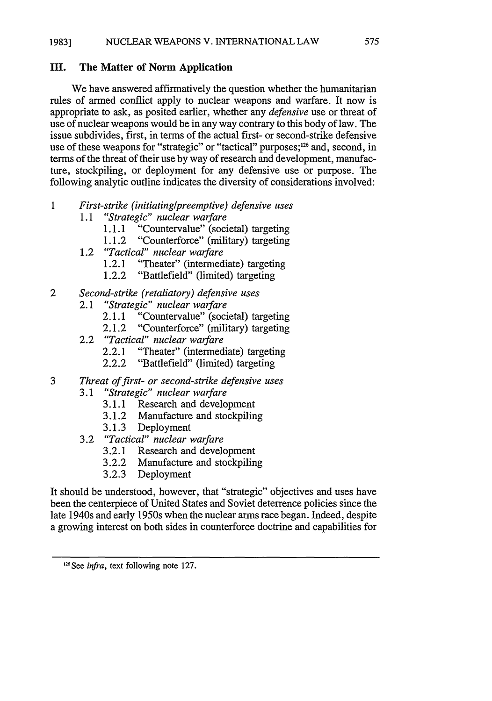# **H. The Matter of Norm Application**

We have answered affirmatively the question whether the humanitarian rules of armed conflict apply to nuclear weapons and warfare. It now is appropriate to ask, as posited earlier, whether any *defensive* use or threat of use of nuclear weapons would be in any way contrary to this body of law. The issue subdivides, first, in terms of the actual first- or second-strike defensive use of these weapons for "strategic" or "tactical" purposes;<sup>126</sup> and, second, in terms of the threat of their use **by** way of research and development, manufacture, stockpiling, or deployment for any defensive use or purpose. The following analytic outline indicates the diversity of considerations involved:

# **1** *First-strike (initiating/preemptive) defensive uses*

- **1.1** *"Strategic" nuclear warfare*
	- **1.1.1** "Countervalue" (societal) targeting
	- **1.1.2** "Counterforce" (military) targeting
- 1.2 *"Tactical" nuclear warfare*
	- 1.2.1 "Theater" (intermediate) targeting<br>1.2.2 "Battlefield" (limited) targeting
	- "Battlefield" (limited) targeting

# 2 *Second-strike (retaliatory) defensive uses*

- 2.1 *"Strategic" nuclear warfare*
	- 2.1.1 "Countervalue" (societal) targeting
	- 2.1.2 "Counterforce" (military) targeting
- 2.2 *"Tactical" nuclear warfare*
	- 2.2.1 "Theater" (intermediate) targeting
	- 2.2.2 "Battlefield" (limited) targeting
- **3** *Threat of first- or second-strike defensive uses*
	- 3.1 *"Strategic" nuclear warfare*
		- 3.1.1 Research and development
		- 3.1.2 Manufacture and stockpiling
		- 3.1.3 Deployment
	- 3.2 *"Tactical" nuclear warfare*
		- 3.2.1 Research and development
		- 3.2.2 Manufacture and stockpiling
		- 3.2.3 Deployment

It should be understood, however, that "strategic" objectives and uses have been the centerpiece of United States and Soviet deterrence policies since the late 1940s and early 1950s when the nuclear arms race began. Indeed, despite a growing interest on both sides in counterforce doctrine and capabilities for

<sup>&</sup>lt;sup>126</sup> See *infra*, text following note 127.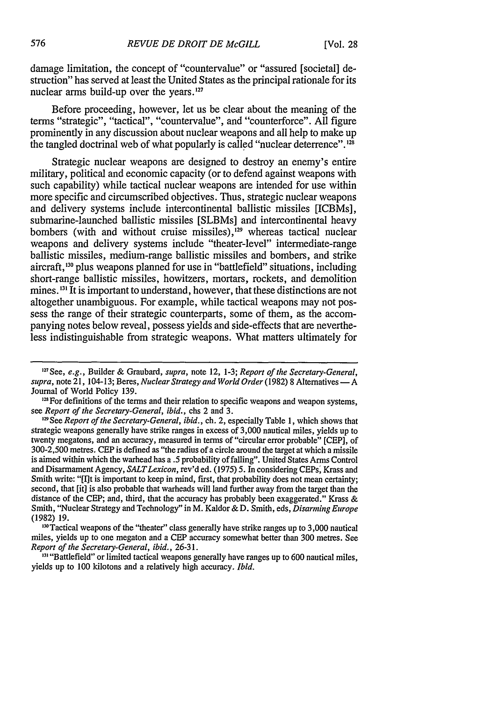damage limitation, the concept of "countervalue" or "assured [societal] destruction" has served at least the United States as the principal rationale for its nuclear arms build-up over the years.<sup>127</sup>

Before proceeding, however, let us be clear about the meaning of the terms "strategic", "tactical", "countervalue", and "counterforce". **All** figure prominently in any discussion about nuclear weapons and all help to make up the tangled doctrinal web of what popularly is called "nuclear deterrence". **"I**

Strategic nuclear weapons are designed to destroy an enemy's entire military, political and economic capacity (or to defend against weapons with such capability) while tactical nuclear weapons are intended for use within more specific and circumscribed objectives. Thus, strategic nuclear weapons and delivery systems include intercontinental ballistic missiles [ICBMs], submarine-launched ballistic missiles [SLBMs] and intercontinental heavy bombers (with and without cruise missiles),<sup>129</sup> whereas tactical nuclear weapons and delivery systems include "theater-level" intermediate-range ballistic missiles, medium-range ballistic missiles and bombers, and strike aircraft,<sup>130</sup> plus weapons planned for use in "battlefield" situations, including short-range ballistic missiles, howitzers, mortars, rockets, and demolition mines. **<sup>3</sup> '** It is important to understand, however, that these distinctions are not altogether unambiguous. For example, while tactical weapons may not possess the range of their strategic counterparts, some of them, as the accompanying notes below reveal, possess yields and side-effects that are nevertheless indistinguishable from strategic weapons. What matters ultimately for

<sup>&#</sup>x27;7See, e.g., Builder **&** Graubard, *supra,* note 12, **1-3;** *Report of the Secretary-General, supra,* note 21, 104-13; Beres, *Nuclear Strategy and World Order* **(1982) 8** Alternatives **- A** Journal of World Policy **139.**

 $128$  For definitions of the terms and their relation to specific weapons and weapon systems. see *Report of the Secretary-General, ibid.,* chs 2 and **3.**

<sup>&</sup>lt;sup>129</sup> See *Report of the Secretary-General, ibid., ch. 2, especially Table 1, which shows that* strategic weapons generally have strike ranges in excess of **3,000** nautical miles, yields up to twenty megatons, and an accuracy, measured in terms of "circular error probable" **[CEP],** of **300-2,500** metres. **CEP** is defined as "the radius of a circle around the target at which a missile is aimed within which the warhead has a **.5** probability of falling". United States Arms Control and Disarmament Agency, *SALTLexicon,* rev'd ed. **(1975) 5.** In considering CEPs, Krass and Smith write: "[I] is important to keep in mind, first, that probability does not mean certainty; second, that [it] is also probable that warheads will land further away from the target than the distance of the **CEP;** and, third, that the accuracy has probably been exaggerated." Krass **&** Smith, "Nuclear Strategy and Technology" in M. Kaldor **& D.** Smith, eds, *Disarming Europe* **(1982) 19.**

<sup>1&#</sup>x27;3Tactical weapons of the "theater" class generally have strike ranges up to **3,000** nautical miles, yields up to one megaton and a **CEP** accuracy somewhat better than **300** metres. See *Report of the Secretary-General, ibid.,* **26-31.**

<sup>&</sup>lt;sup>131</sup> "Battlefield" or limited tactical weapons generally have ranges up to 600 nautical miles, yields up to **100** kilotons and a relatively high accuracy. *Ibid.*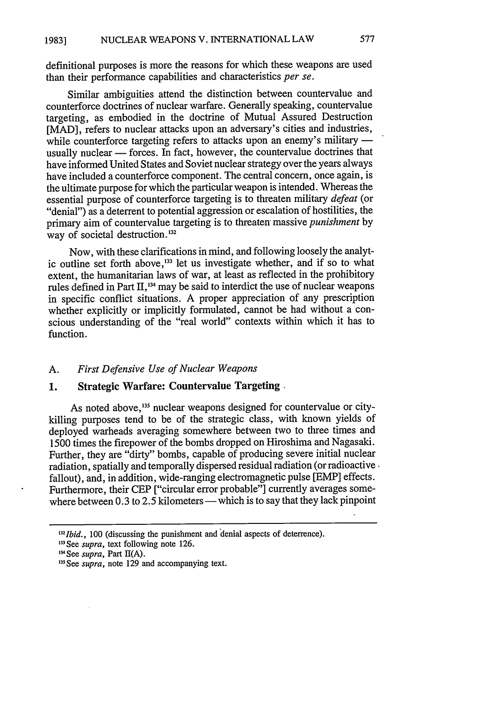definitional purposes is more the reasons for which these weapons are used than their performance capabilities and characteristics *per se.*

Similar ambiguities attend the distinction between countervalue and counterforce doctrines of nuclear warfare. Generally speaking, countervalue targeting, as embodied in the doctrine of Mutual Assured Destruction [MAD], refers to nuclear attacks upon an adversary's cities and industries, while counterforce targeting refers to attacks upon an enemy's military usually nuclear - forces. In fact, however, the countervalue doctrines that have informed United States and Soviet nuclear strategy over the years always have included a counterforce component. The central concern, once again, is the ultimate purpose for which the particular weapon is intended. Whereas the essential purpose of counterforce targeting is to threaten military *defeat* (or "denial") as a deterrent to potential aggression or escalation of hostilities, the primary aim of countervalue targeting is to threaten massive *punishment* by way of societal destruction.<sup>132</sup>

Now, with these clarifications in mind, and following loosely the analytic outline set forth above,<sup>133</sup> let us investigate whether, and if so to what extent, the humanitarian laws of war, at least as reflected in the prohibitory rules defined in Part **H,11** may be said to interdict the use of nuclear weapons in specific conflict situations. A proper appreciation of any prescription whether explicitly or implicitly formulated, cannot be had without a conscious understanding of the "real world" contexts within which it has to function.

#### A. *First Defensive Use of Nuclear Weapons*

# **1.** Strategic **Warfare: Countervalue Targeting**

As noted above,<sup>135</sup> nuclear weapons designed for countervalue or citykilling purposes tend to be of the strategic class, with known yields of deployed warheads averaging somewhere between two to three times and 1500 times the firepower of the bombs dropped on Hiroshima and Nagasaki. Further, they are "dirty" bombs, capable of producing severe initial nuclear radiation, spatially and temporally dispersed residual radiation (or radioactive. fallout), and, in addition, wide-ranging electromagnetic pulse [EMP] effects. Furthermore, their CEP ["circular error probable"] currently averages somewhere between  $0.3$  to  $2.5$  kilometers — which is to say that they lack pinpoint

<sup>&</sup>lt;sup>132</sup>*Ibid.*, 100 (discussing the punishment and denial aspects of deterrence).

<sup>&</sup>lt;sup>133</sup> See *supra*, text following note 126.

<sup>&</sup>lt;sup>134</sup> See *supra*, Part II(A).

<sup>&</sup>lt;sup>135</sup> See *supra*, note 129 and accompanying text.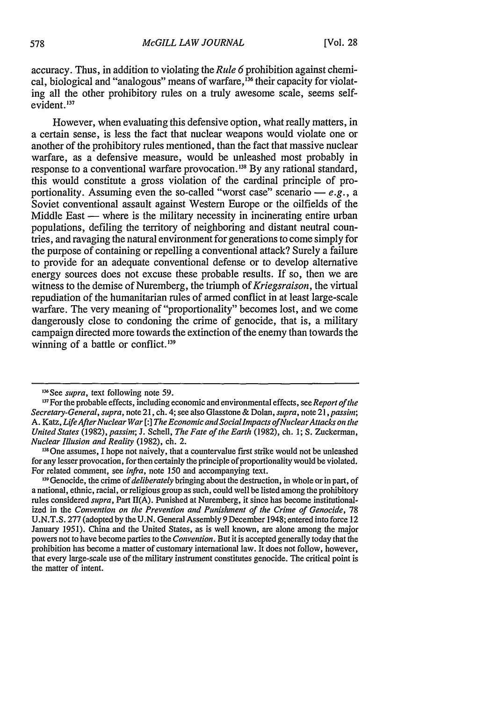accuracy. Thus, in addition to violating the *Rule 6* prohibition against chemical, biological and "analogous" means of warfare,<sup>136</sup> their capacity for violating all the other prohibitory rules on a truly awesome scale, seems selfevident. **' 37**

However, when evaluating this defensive option, what really matters, in a certain sense, is less the fact that nuclear weapons would violate one or another of the prohibitory rules mentioned, than the fact that massive nuclear warfare, as a defensive measure, would be unleashed most probably in response to a conventional warfare provocation.<sup>138</sup> By any rational standard, this would constitute a gross violation of the cardinal principle of proportionality. Assuming even the so-called "worst case" scenario  $-e.g., a$ Soviet conventional assault against Western Europe or the oilfields of the Middle East — where is the military necessity in incinerating entire urban populations, defiling the territory of neighboring and distant neutral countries, and ravaging the natural environment for generations to come simply for the purpose of containing or repelling a conventional attack? Surely a failure to provide for an adequate conventional defense or to develop alternative energy sources does not excuse these probable results. If so, then we are witness to the demise of Nuremberg, the triumph of *Kriegsraison,* the virtual repudiation of the humanitarian rules of armed conflict in at least large-scale warfare. The very meaning of "proportionality" becomes lost, and we come dangerously close to condoning the crime of genocide, that is, a military campaign directed more towards the extinction of the enemy than towards the winning of a battle or conflict.<sup>139</sup>

**<sup>139</sup>**Genocide, the crime *of deliberately* bringing about the destruction, in whole or in part, of a national, ethnic, racial, or religious group as such, could well be listed among the prohibitory rules considered *supra,* Part II(A). Punished at Nuremberg, it since has become institutionalized in the *Convention on the Prevention and Punishment of the Crime of Genocide,* 78 U.N.T.S. 277 (adopted by the U.N. General Assembly 9 December 1948; entered into force 12 January 1951). China and the United States, as is well known, are alone among the major powers not to have become parties to the *Convention.* But it is accepted generally today that the prohibition has become a matter of customary international law. It does not follow, however, that every large-scale use of the military instrument constitutes genocide. The critical point is the matter of intent.

<sup>&</sup>lt;sup>136</sup> See *supra*, text following note 59.

**<sup>1</sup>**For the probable effects, including economic and environmental effects, see *Report of the Secretary-General, supra,* note 21, ch. 4; see also Glasstone & Dolan, *supra,* note 21, *passim;* A. Katz, *Life AfterNuclear War [:] The Economic and Social Impacts ofNuclearAttacks on the United States* (1982), *passim;* J. Schell, *The Fate of the Earth* (1982), ch. 1; S. Zuckerman, *Nuclear Illusion and Reality (1982), ch. 2.* 

<sup>&</sup>lt;sup>138</sup> One assumes, I hope not naively, that a countervalue first strike would not be unleashed for any lesser provocation, for then certainly the principle of proportionality would be violated. For related comment, see *infra,* note 150 and accompanying text.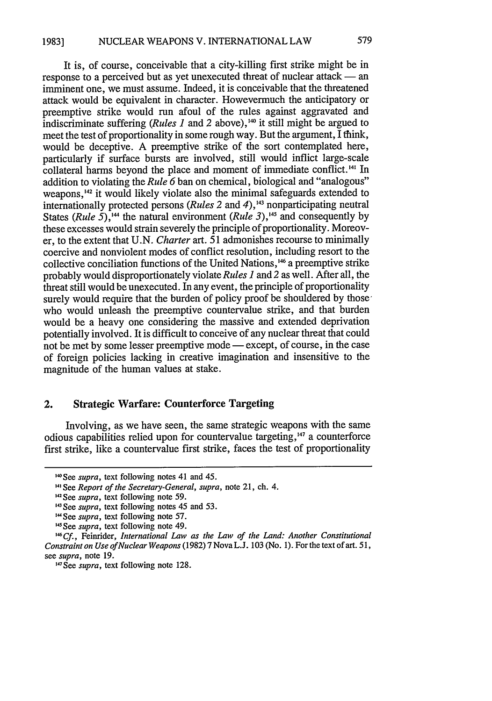It is, of course, conceivable that a city-killing first strike might be in response to a perceived but as yet unexecuted threat of nuclear attack — an imminent one, we must assume. Indeed, it is conceivable that the threatened attack would be equivalent in character. Howevermuch the anticipatory or preemptive strike would run afoul of the rules against aggravated and indiscriminate suffering *(Rules 1* and 2 above),<sup>140</sup> it still might be argued to meet the test of proportionality in some rough way. But the argument, I think, would be deceptive. A preemptive strike of the sort contemplated here, particularly if surface bursts are involved, still would inflict large-scale collateral harms beyond the place and moment of immediate conflict.<sup>141</sup> In addition to violating the *Rule 6* ban on chemical, biological and "analogous" weapons, **<sup>42</sup>**it would likely violate also the minimal safeguards extended to internationally protected persons *(Rules 2* and 4), **143** nonparticipating neutral States *(Rule 5),'"* the natural environment *(Rule* **3)'145** and consequently by these excesses would strain severely the principle of proportionality. Moreover, to the extent that U.N. *Charter art.* 51 admonishes recourse to minimally coercive and nonviolent modes of conflict resolution, including resort to the collective conciliation functions of the United Nations,146 a preemptive strike probably would disproportionately violate *Rules I* and 2 as well. After all, the threat still would be unexecuted. In any event, the principle of proportionality surely would require that the burden of policy proof be shouldered by those who would unleash the preemptive countervalue strike, and that burden would be a heavy one considering the massive and extended deprivation potentially involved. It is difficult to conceive of any nuclear threat that could not be met by some lesser preemptive mode  $-$  except, of course, in the case of foreign policies lacking in creative imagination and insensitive to the magnitude of the human values at stake.

### 2. Strategic **Warfare: Counterforce Targeting**

Involving, as we have seen, the same strategic weapons with the same odious capabilities relied upon for countervalue targeting,<sup>147</sup> a counterforce first strike, like a countervalue first strike, faces the test of proportionality

<sup>&</sup>lt;sup>140</sup> See *supra*, text following notes 41 and 45.

<sup>&</sup>lt;sup>141</sup> See Report of the Secretary-General, supra, note 21, ch. 4.

<sup>&</sup>lt;sup>142</sup> See *supra*, text following note 59.<br><sup>143</sup> See *supra*, text following notes 45 and 53.

<sup>&</sup>lt;sup>144</sup> See *supra*, text following note 57.

<sup>&</sup>lt;sup>145</sup> See *supra*, text following note 49.

*<sup>&#</sup>x27;"Cf.,* Feinrider, *International Law as the Law of the Land: Another Constitutional Constraint on Use of Nuclear Weapons* (1982) 7 Nova L.J. 103 (No. 1). For the text of art. 51, see *supra,* note 19.

<sup>&</sup>lt;sup>147</sup> See *supra*, text following note 128.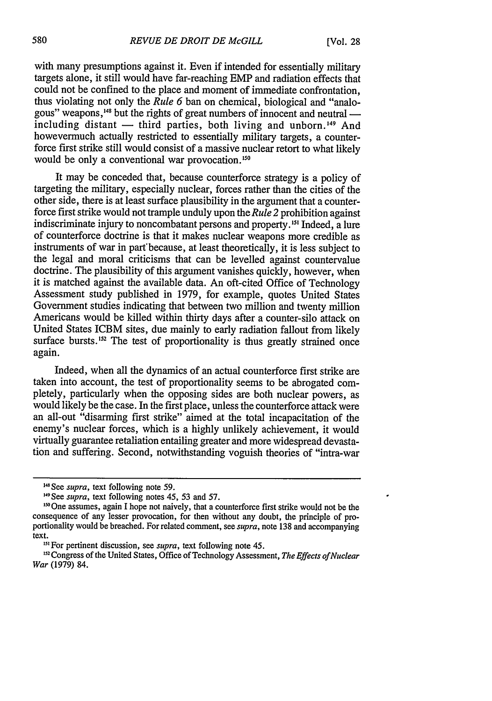with many presumptions against it. Even if intended for essentially military targets alone, it still would have far-reaching EMP and radiation effects that could not be confined to the place and moment of immediate confrontation, thus violating not only the *Rule 6* ban on chemical, biological and "analogous" weapons,<sup>148</sup> but the rights of great numbers of innocent and neutral including distant  $-$  third parties, both living and unborn.<sup>149</sup> And howevermuch actually restricted to essentially military targets, a counterforce first strike still would consist of a massive nuclear retort to what likely would be only a conventional war provocation.<sup>150</sup>

It may be conceded that, because counterforce strategy is a policy of targeting the military, especially nuclear, forces rather than the cities of the other side, there is at least surface plausibility in the argument that a counterforce first strike would not trample unduly upon the *Rule 2* prohibition against indiscriminate injury to noncombatant persons and property. **"'** Indeed, a lure of counterforce doctrine is that it makes nuclear weapons more credible as instruments of war in part'because, at least theoretically, it is less subject to the legal and moral criticisms that can be levelled against countervalue doctrine. The plausibility of this argument vanishes quickly, however, when it is matched against the available data. An oft-cited Office of Technology Assessment study published in 1979, for example, quotes United States Government studies indicating that between two million and twenty million Americans would be killed within thirty days after a counter-silo attack on United States ICBM sites, due mainly to early radiation fallout from likely surface bursts.<sup>152</sup> The test of proportionality is thus greatly strained once again.

Indeed, when all the dynamics of an actual counterforce first strike are taken into account, the test of proportionality seems to be abrogated completely, particularly when the opposing sides are both nuclear powers, as would likely be the case. In the first place, unless the counterforce attack were an all-out "disarming first strike" aimed at the total incapacitation of the enemy's nuclear forces, which is a highly unlikely achievement, it would virtually guarantee retaliation entailing greater and more widespread devastation and suffering. Second, notwithstanding voguish theories of "intra-war

<sup>&</sup>lt;sup>148</sup> See *supra*, text following note 59.

<sup>&</sup>lt;sup>149</sup> See *supra*, text following notes 45, 53 and 57.

<sup>&</sup>lt;sup>150</sup> One assumes, again I hope not naively, that a counterforce first strike would not be the consequence of any lesser provocation, for then without any doubt, the principle of proportionality would be breached. For related comment, see *supra,* note 138 and accompanying text.

<sup>&</sup>lt;sup>151</sup> For pertinent discussion, see *supra*, text following note 45.

<sup>&</sup>lt;sup>152</sup> Congress of the United States, Office of Technology Assessment, *The Effects of Nuclear War* (1979) 84.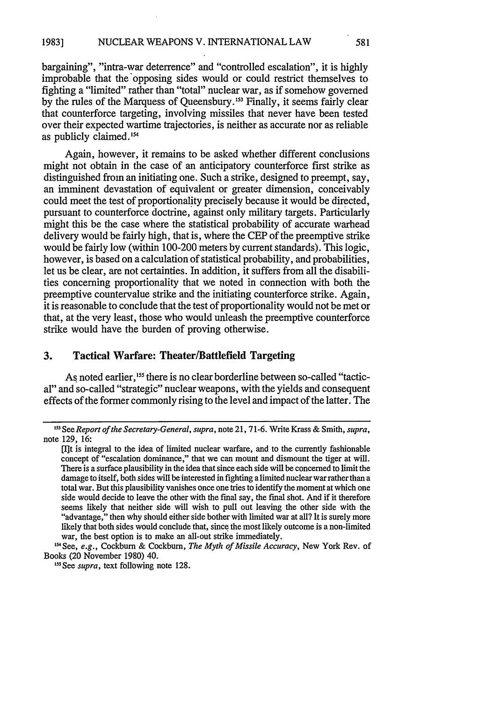#### NUCLEAR WEAPONS V. INTERNATIONAL LAW **1983]**

bargaining", "intra-war deterrence" and "controlled escalation", it is highly improbable that the opposing sides would or could restrict themselves to fighting a "limited" rather than "total" nuclear war, as if somehow governed by the rules of the Marquess of Queensbury.<sup>153</sup> Finally, it seems fairly clear that counterforce targeting, involving missiles that never have been tested over their expected wartime trajectories, is neither as accurate nor as reliable as publicly claimed.<sup>154</sup>

Again, however, it remains to be asked whether different conclusions might not obtain in the case of an anticipatory counterforce first strike as distinguished from an initiating one. Such a strike, designed to preempt, say, an imminent devastation of equivalent or greater dimension, conceivably could meet the test of proportionality precisely because it would be directed, pursuant to counterforce doctrine, against only military targets. Particularly might this be the case where the statistical probability of accurate warhead delivery would be fairly high, that is, where the CEP of the preemptive strike would be fairly low (within 100-200 meters by current standards). This logic, however, is based on a calculation of statistical probability, and probabilities, let us be clear, are not certainties. In addition, it suffers from all the disabilities concerning proportionality that we noted in connection with both the preemptive countervalue strike and the initiating counterforce strike. Again, it is reasonable to conclude that the test of proportionality would not be met or that, at the very least, those who would unleash the preemptive counterforce strike would have the burden of proving otherwise.

#### **3. Tactical Warfare: Theater/Battlefield Targeting**

As noted earlier,<sup>155</sup> there is no clear borderline between so-called "tactical" and so-called "strategic" nuclear weapons, with the yields and consequent effects of the former commonly rising to the level and impact of the latter. The

<sup>155</sup> See *supra*, text following note 128.

**<sup>&</sup>quot;** *See Report of the Secretary-General, supra,* note 21, 71-6. Write Krass & Smith, supra, note 129, 16:

<sup>[</sup>lit is integral to the idea of limited nuclear warfare, and to the currently fashionable concept of "escalation dominance," that we can mount and dismount the tiger at will. There is a surface plausibility in the idea that since each side will be concerned to limit the damage to itself, both sides will be interested in fighting a limited nuclear war rather than a total war. But this plausibility vanishes once one tries to identify the moment at which one side would decide to leave the other with the final say, the final shot. And if it therefore seems likely that neither side will wish to pull out leaving the other side with the "advantage," then why should either side bother with limited war at all? It is surely more likely that both sides would conclude that, since the most likely outcome is a non-limited war, the best option is to make an all-out strike immediately.

<sup>&</sup>lt;sup>154</sup> See, *e.g.*, Cockburn & Cockburn, *The Myth of Missile Accuracy*, New York Rev. of Books (20 November 1980) 40.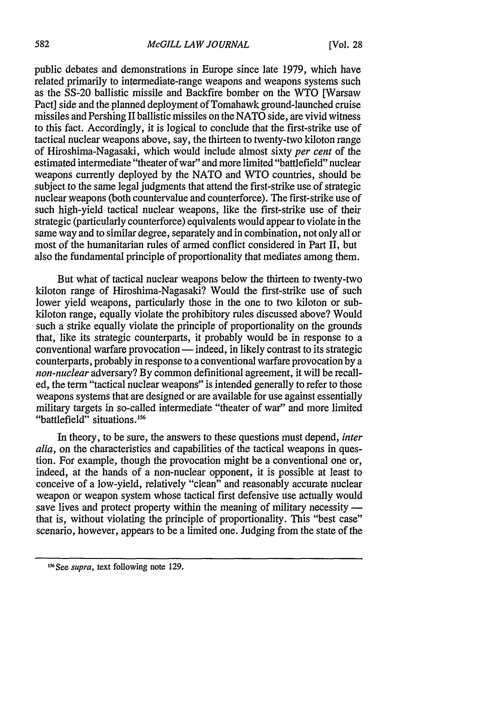public debates and demonstrations in Europe since late 1979, which have related primarily to intermediate-range weapons and weapons systems such as the SS-20 ballistic missile and Backfire bomber on the WTO [Warsaw Pact] side and the planned deployment of Tomahawk ground-launched cruise missiles and Pershing II ballistic missiles on the NATO side, are vivid witness to this fact. Accordingly, it is logical to conclude that the first-strike use of tactical nuclear weapons above, say, the thirteen to twenty-two kiloton range of Hiroshima-Nagasaki, which would include almost sixty *per cent* of the estimated intermediate "theater of war" and more limited "battlefield" nuclear weapons currently deployed by the NATO and WTO countries, should be subject to the same legal judgments that attend the first-strike use of strategic nuclear weapons (both countervalue and counterforce). The first-strike use of such high-yield tactical nuclear weapons, like the first-strike use of their strategic (particularly counterforce) equivalents would appear to violate in the same way and to similar degree, separately and in combination, not only all or most of the humanitarian rules of armed conflict considered in Part II, but also the fundamental principle of proportionality that mediates among them.

But what of tactical nuclear weapons below the thirteen to twenty-two kiloton range of Hiroshima-Nagasaki? Would the first-strike use of such lower yield weapons, particularly those in the one to two kiloton or subkiloton range, equally violate the prohibitory rules discussed above? Would such a strike equally violate the principle of proportionality on the grounds that, like its strategic counterparts, it probably would be in response to a conventional warfare provocation — indeed, in likely contrast to its strategic counterparts, probably in response to a conventional warfare provocation by a *non-nuclear* adversary? By common definitional agreement, it will be recalled, the term "tactical nuclear weapons" is intended generally to refer to those weapons systems that are designed or are available for use against essentially military targets in so-called intermediate "theater of war" and more limited "battlefield" situations.'<sup>56</sup>

In theory, to be sure, the answers to these questions must depend, *inter alia,* on the characteristics and capabilities of the tactical weapons in question. For example, though the provocation might be a conventional one or, indeed, at the hands of a non-nuclear opponent, it is possible at least to conceive of a low-yield, relatively "clean" and reasonably accurate nuclear weapon or weapon system whose tactical first defensive use actually would save lives and protect property within the meaning of military necessity  that is, without violating the principle of proportionality. This "best case" scenario, however, appears to be a limited one. Judging from the state of the

*<sup>&</sup>quot;'See supra,* text following note **129.**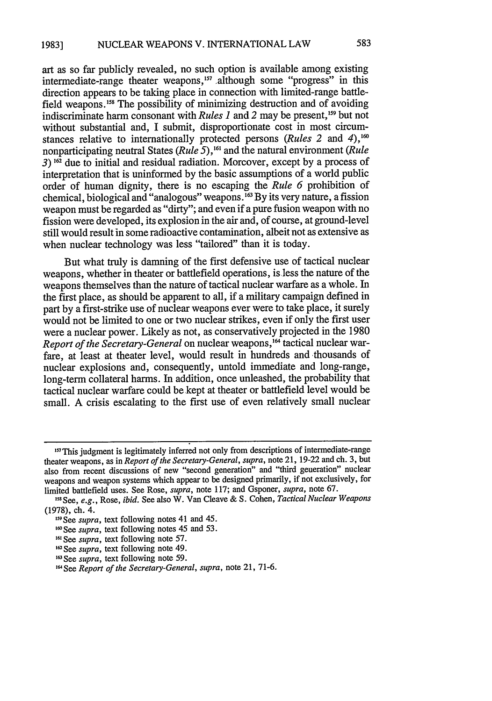art as so far publicly revealed, no such option is available among existing intermediate-range theater weapons,<sup>157</sup> although some "progress" in this direction appears to be taking place in connection with limited-range battlefield weapons.<sup>158</sup> The possibility of minimizing destruction and of avoiding indiscriminate harm consonant with *Rules 1* and 2 may be present,<sup>159</sup> but not without substantial and, I submit, disproportionate cost in most circumstances relative to internationally protected persons *(Rules 2 and 4)*,<sup>160</sup>, nonparticipating neutral States *(Rule 5)*,<sup>161</sup> and the natural environment *(Rule* **3)162** due to initial and residual radiation. Moreover, except by a process of interpretation that is uninformed by the basic assumptions of a world public order of human dignity, there is no escaping the *Rule 6* prohibition of chemical, biological and "analogous" weapons.<sup>163</sup> By its very nature, a fission weapon must be regarded as "dirty"; and even if a pure fusion weapon with no fission were developed, its explosion in the air and, of course, at ground-level still would result in some radioactive contamination, albeit not as extensive as when nuclear technology was less "tailored" than it is today.

But what truly is damning of the first defensive use of tactical nuclear weapons, whether in theater or battlefield operations, is less the nature of the weapons themselves than the nature of tactical nuclear warfare as a whole. In the first place, as should be apparent to all, if a military campaign defined in part by a first-strike use of nuclear weapons ever were to take place, it surely would not be limited to one or two nuclear strikes, even if only the first user were a nuclear power. Likely as not, as conservatively projected in the 1980 *Report of the Secretary-General* on nuclear weapons,<sup>164</sup> tactical nuclear warfare, at least at theater level, would result in hundreds and thousands of nuclear explosions and, consequently, untold immediate and long-range, long-term collateral harms. In addition, once unleashed, the probability that tactical nuclear warfare could be kept at theater or battlefield level would be small. A crisis escalating to the first use of even relatively small nuclear

<sup>161</sup> See *supra*, text following note 57.

<sup>&</sup>lt;sup>157</sup>This judgment is legitimately inferred not only from descriptions of intermediate-range theater weapons, as in *Report of the Secretary-General, supra,* note 21, 19-22 and ch. 3, but also from recent discussions of new "second generation" and "third generation" nuclear weapons and weapon systems which appear to be designed primarily, if not exclusively, for limited battlefield uses. See Rose, *supra,* note 117; and Gsponer, *supra,* note 67.

<sup>&</sup>lt;sup>158</sup> See, e.g., Rose, *ibid.* See also W. Van Cleave & S. Cohen, *Tactical Nuclear Weapons* (1978), ch. 4.

<sup>&</sup>lt;sup>159</sup> See *supra*, text following notes 41 and 45.

<sup>&</sup>lt;sup>160</sup> See *supra*, text following notes 45 and 53.

<sup>&</sup>lt;sup>162</sup> See *supra*, text following note 49.

<sup>&</sup>lt;sup>163</sup> See *supra*, text following note 59.

*<sup>6&#</sup>x27;See Report of the Secretary-General, supra,* note 21, 71-6.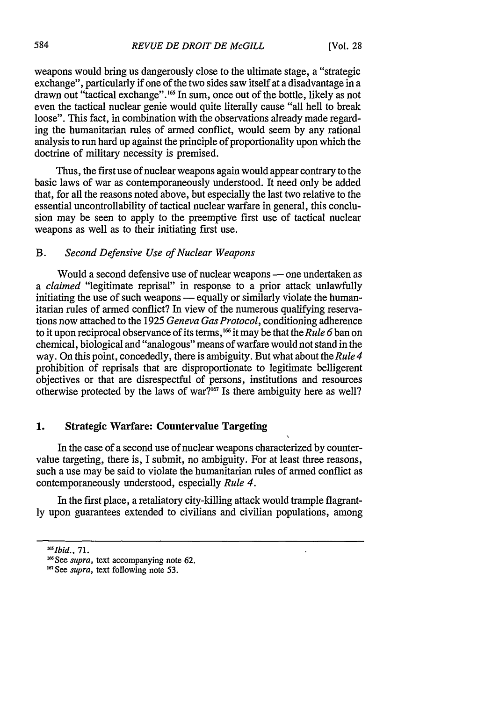weapons would bring us dangerously close to the ultimate stage, a "strategic exchange", particularly if one of the two sides saw itself at a disadvantage in a drawn out "tactical exchange".'65 In sum, once out of the bottle, likely as not even the tactical nuclear genie would quite literally cause "all hell to break loose". This fact, in combination with the observations already made regarding the humanitarian rules of armed conflict, would seem by any rational analysis to run hard up against the principle of proportionality upon which the doctrine of military necessity is premised.

Thus, the first use of nuclear weapons again would appear contrary to the basic laws of war as contemporaneously understood. It need only be added that, for all the reasons noted above, but especially the last two relative to the essential uncontrollability of tactical nuclear warfare in general, this conclusion may be seen to apply to the preemptive first use of tactical nuclear weapons as well as to their initiating first use.

### B. *Second Defensive Use of Nuclear Weapons*

Would a second defensive use of nuclear weapons - one undertaken as *a claimed* "legitimate reprisal" in response to a prior attack unlawfully initiating the use of such weapons — equally or similarly violate the humanitarian rules of armed conflict? In view of the numerous qualifying reservations now attached to the 1925 *Geneva Gas Protocol,* conditioning adherence to it upon reciprocal observance of its terms, <sup>166</sup> it may be that the *Rule 6* ban on chemical, biological and "analogous" means of warfare would not stand in the way. On this point, concededly, there is ambiguity. But what about the *Rule 4* prohibition of reprisals that are disproportionate to legitimate belligerent objectives or that are disrespectful of persons, institutions and resources otherwise protected by the laws of war?<sup>167</sup> Is there ambiguity here as well?

### **1.** Strategic **Warfare: Countervalue Targeting**

In the case of a second use of nuclear weapons characterized by countervalue targeting, there is, I submit, no ambiguity. For at least three reasons, such a use may be said to violate the humanitarian rules of armed conflict as contemporaneously understood, especially *Rule 4.*

In the first place, a retaliatory city-killing attack would trample flagrantly upon guarantees extended to civilians and civilian populations, among

*I5bid., 71.*

<sup>&</sup>lt;sup>166</sup> See supra, text accompanying note 62.

<sup>&</sup>lt;sup>167</sup> See *supra*, text following note 53.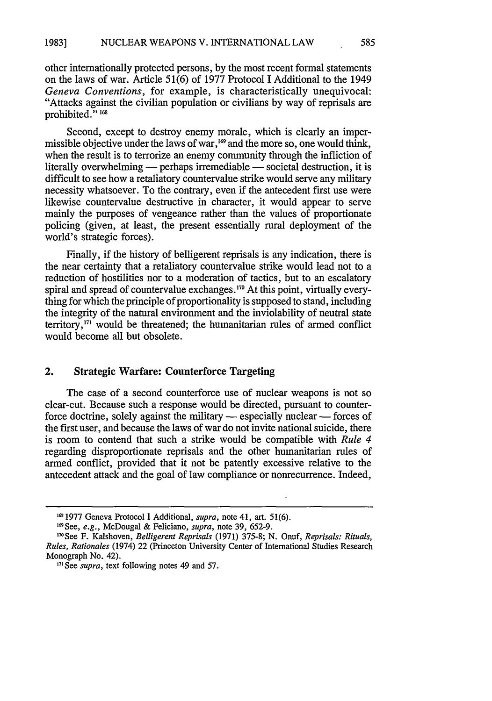other internationally protected persons, by the most recent formal statements on the laws of war. Article 51(6) of 1977 Protocol I Additional to the 1949 *Geneva Conventions,* for example, is characteristically unequivocal: "Attacks against the civilian population or civilians by way of reprisals are prohibited."<sup>168</sup>

Second, except to destroy enemy morale, which is clearly an impermissible objective under the laws of war,<sup>169</sup> and the more so, one would think, when the result is to terrorize an enemy community through the infliction of literally overwhelming  $-$  perhaps irremediable  $-$  societal destruction, it is difficult to see how a retaliatory countervalue strike would serve any military necessity whatsoever. To the contrary, even if the antecedent first use were likewise countervalue destructive in character, it would appear to serve mainly the purposes of vengeance rather than the values of proportionate policing (given, at least, the present essentially rural deployment of the world's strategic forces).

Finally, if the history of belligerent reprisals is any indication, there is the near certainty that a retaliatory countervalue strike would lead not to a reduction of hostilities nor to a moderation of tactics, but to an escalatory spiral and spread of countervalue exchanges.<sup>170</sup> At this point, virtually everything for which the principle of proportionality is supposed to stand, including the integrity of the natural environment and the inviolability of neutral state territory, $^{171}$  would be threatened; the humanitarian rules of armed conflict would become all but obsolete.

# **2. Strategic Warfare: Counterforce Targeting**

The case of a second counterforce use of nuclear weapons is not so clear-cut. Because such a response would be directed, pursuant to counterforce doctrine, solely against the military — especially nuclear — forces of the first user, and because the laws of war do not invite national suicide, there is room to contend that such a strike would be compatible with *Rule 4* regarding disproportionate reprisals and the other humanitarian rules of armed conflict, provided that it not be patently excessive relative to the antecedent attack and the goal of law compliance or nonrecurrence. Indeed,

<sup>169</sup> See, *e.g.*, McDougal & Feliciano, *supra*, note 39, 652-9.

<sup>&</sup>lt;sup>163</sup> 1977 Geneva Protocol 1 Additional, *supra*, note 41, art. 51(6).

<sup>1&#</sup>x27;0 See F. Kalshoven, *Belligerent Reprisals* (1971) 375-8; N. Onuf, *Reprisals: Rituals, Rules, Rationales* (1974) 22 (Princeton University Center of International Studies Research Monograph No. 42).

<sup>&</sup>lt;sup>171</sup> See *supra*, text following notes 49 and 57.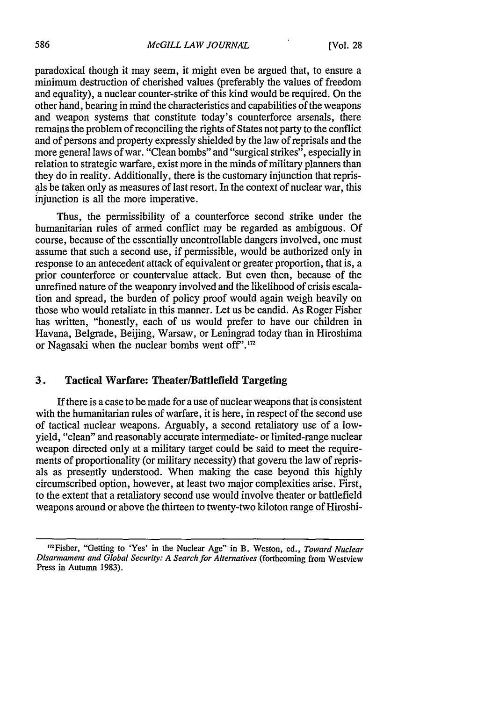paradoxical though it may seem, it might even be argued that, to ensure a minimum destruction of cherished values (preferably the values of freedom and equality), a nuclear counter-strike of this kind would be required. On the other hand, bearing in mind the characteristics and capabilities of the weapons and weapon systems that constitute today's counterforce arsenals, there remains the problem of reconciling the rights of States not party to the conflict and of persons and property expressly shielded by the law of reprisals and the more general laws of war. "Clean bombs" and "surgical strikes", especially in relation to strategic warfare, exist more in the minds of military planners than they do in reality. Additionally, there is the customary injunction that reprisals be taken only as measures of last resort. In the context of nuclear war, this injunction is all the more imperative.

Thus, the permissibility of a counterforce second strike under the humanitarian rules of armed conflict may be regarded as ambiguous. Of course, because of the essentially uncontrollable dangers involved, one must assume that such a second use, if permissible, would be authorized only in response to an antecedent attack of equivalent or greater proportion, that is, a prior counterforce or countervalue attack. But even then, because of the unrefined nature of the weaponry involved and the likelihood of crisis escalation and spread, the burden of policy proof would again weigh heavily on those who would retaliate in this manner. Let us be candid. As Roger Fisher has written, "honestly, each of us would prefer to have our children in Havana, Belgrade, Beijing, Warsaw, or Leningrad today than in Hiroshima or Nagasaki when the nuclear bombs went of  $f''$ .<sup>172</sup>

## **3.** Tactical Warfare: Theater/Battlefield Targeting

If there is a case to be made for a use of nuclear weapons that is consistent with the humanitarian rules of warfare, it is here, in respect of the second use of tactical nuclear weapons. Arguably, a second retaliatory use of a lowyield, "clean" and reasonably accurate intermediate- or limited-range nuclear weapon directed only at a military target could be said to meet the requirements of proportionality (or military necessity) that govern the law of reprisals as presently understood. When making the case beyond this highly circumscribed option, however, at least two major complexities arise. First, to the extent that a retaliatory second use would involve theater or battlefield weapons around or above the thirteen to twenty-two kiloton range of Hiroshi-

<sup>&</sup>lt;sup>172</sup> Fisher, "Getting to 'Yes' in the Nuclear Age" in B. Weston, ed., *Toward Nuclear Disarmament and Global Security: A Search for Alternatives* (forthcoming from Westview Press in Autumn 1983).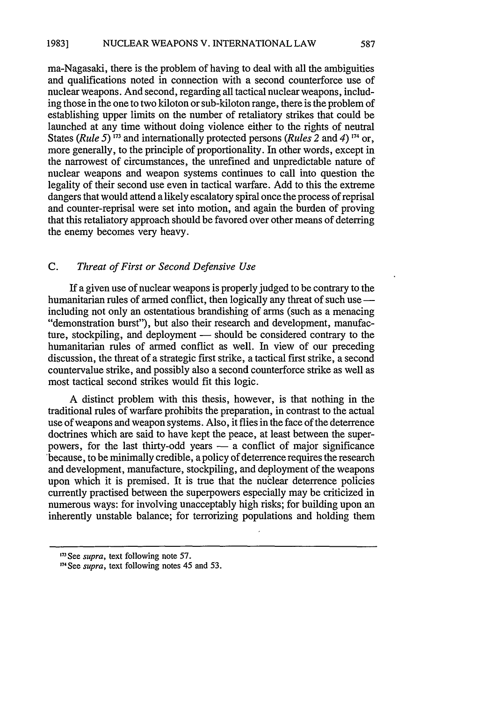ma-Nagasaki, there is the problem of having to deal with all the ambiguities and qualifications noted in connection with a second counterforce use of nuclear weapons. And second, regarding all tactical nuclear weapons, including those in the one to two kiloton or sub-kiloton range, there is the problem of establishing upper limits on the number of retaliatory strikes that could be launched at any time without doing violence either to the rights of neutral States *(Rule 5)* **'73** and internationally protected persons *(Rules 2* and 4) **174** or, more generally, to the principle of proportionality. In other words, except in the narrowest of circumstances, the unrefined and unpredictable nature of nuclear weapons and weapon systems continues to call into question the legality of their second use even in tactical warfare. Add to this the extreme dangers that would attend a likely escalatory spiral once the process of reprisal and counter-reprisal were set into motion, and again the burden of proving that this retaliatory approach should be favored over other means of deterring the enemy becomes very heavy.

# C. *Threat of First or Second Defensive Use*

If a given use of nuclear weapons is properly judged to be contrary to the humanitarian rules of armed conflict, then logically any threat of such use including not only an ostentatious brandishing of arms (such as a menacing "demonstration burst"), but also their research and development, manufacture, stockpiling, and deployment — should be considered contrary to the humanitarian rules of armed conflict as well. In view of our preceding discussion, the threat of a strategic first strike, a tactical first strike, a second countervalue strike, and possibly also a second counterforce strike as well as most tactical second strikes would fit this logic.

A distinct problem with this thesis, however, is that nothing in the traditional rules of warfare prohibits the preparation, in contrast to the actual use of weapons and weapon systems. Also, it flies in the face of the deterrence doctrines which are said to have kept the peace, at least between the superpowers, for the last thirty-odd years  $-$  a conflict of major significance 'because, to be minimally credible, a policy of deterrence requires the research and development, manufacture, stockpiling, and deployment of the weapons upon which it is premised. It is true that the nuclear deterrence policies currently practised between the superpowers especially may be criticized in numerous ways: for involving unacceptably high risks; for building upon an inherently unstable balance; for terrorizing populations and holding them

<sup>&</sup>lt;sup>13</sup> See *supra*, text following note 57.

<sup>1</sup> See *supra,* text following notes 45 and 53.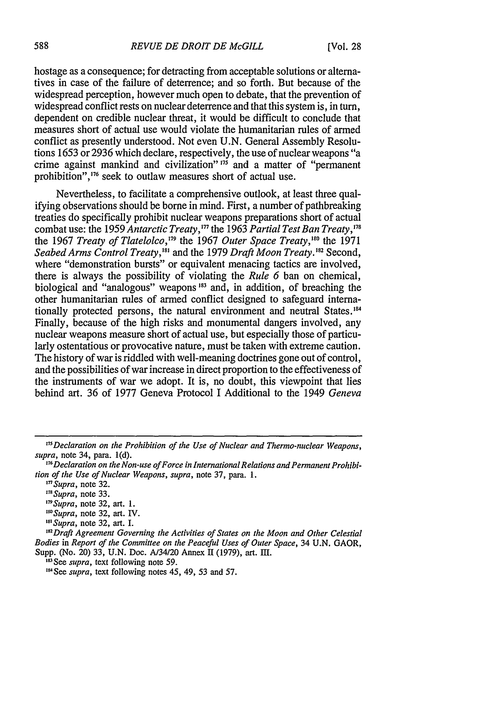hostage as a consequence; for detracting from acceptable solutions or alternatives in case of the failure of deterrence; and so forth. But because of the widespread perception, however much open to debate, that the prevention of widespread conflict rests on nuclear deterrence and that this system is, in turn, dependent on credible nuclear threat, it would be difficult to conclude that measures short of actual use would violate the humanitarian rules of armed conflict as presently understood. Not even U.N. General Assembly Resolutions 1653 or 2936 which declare, respectively, the use of nuclear weapons "a crime against mankind and civilization"<sup>175</sup> and a matter of "permanent prohibition",<sup>176</sup> seek to outlaw measures short of actual use.

Nevertheless, to facilitate a comprehensive outlook, at least three qualifying observations should be borne in mind. First, a number of pathbreaking treaties do specifically prohibit nuclear weapons preparations short of actual combat use: the 1959 *Antarctic Treaty,'7* the 1963 *Partial Test Ban Treaty,"I* the 1967 *Treaty of Tlatelolco*,<sup>179</sup> the 1967 *Outer Space Treaty*,<sup>180</sup> the 1971 *Seabed Arms Control Treaty*,<sup>181</sup> and the 1979 *Draft Moon Treaty*.<sup>182</sup> Second, where "demonstration bursts" or equivalent menacing tactics are involved, there is always the possibility of violating the *Rule 6* ban on chemical, biological and "analogous" weapons **83** and, in addition, of breaching the other humanitarian rules of armed conflict designed to safeguard internationally protected persons, the natural environment and neutral States.<sup>184</sup> Finally, because of the high risks and monumental dangers involved, any nuclear weapons measure short of actual use, but especially those of particularly ostentatious or provocative nature, must be taken with extreme caution. The history of war is riddled with well-meaning doctrines gone out of control, and the possibilities of war increase in direct proportion to the effectiveness of the instruments of war we adopt. It is, no doubt, this viewpoint that lies behind art. 36 of 1977 Geneva Protocol I Additional to the 1949 *Geneva*

- *'79Supra,* note 32, art. 1.
- *' <sup>5</sup> Supra,* note 32, art. IV.

*<sup>&#</sup>x27;"Declaration on the Prohibition of the Use of Nuclear and Thermo-nuclear Weapons, supra,* note 34, para. **l(d).**

*<sup>&</sup>quot;'Declaration on the Non-use of Force in International Relations and Permanent Prohibition of the Use of Nuclear Weapons, supra,* note 37, para. 1.

*<sup>&#</sup>x27;"Supra,* note 32.

*<sup>&</sup>quot;'78 Supra,* note 33.

<sup>&</sup>lt;sup>181</sup> Supra, note 32, art. I.

<sup>&</sup>lt;sup>182</sup> Draft Agreement Governing the Activities of States on the Moon and Other Celestial *Bodies* in *Report of the Committee on the Peaceful Uses of Outer Space,* 34 U.N. GAOR, Supp. (No. 20) 33, U.N. Doc. A/34/20 Annex II (1979), art. III.

<sup>&</sup>lt;sup>183</sup> See *supra*, text following note 59.

<sup>&</sup>lt;sup>184</sup> See *supra*, text following notes 45, 49, 53 and 57.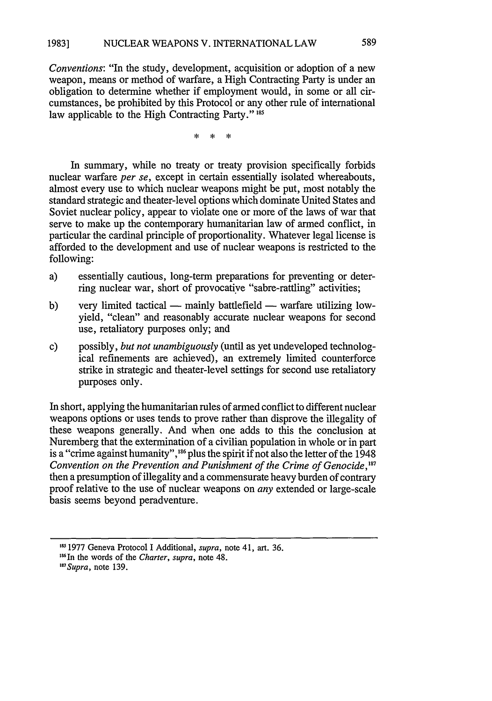*Conventions:* "In the study, development, acquisition or adoption of a new weapon, means or method of warfare, a High Contracting Party is under an obligation to determine whether if employment would, in some or all circumstances, be prohibited by this Protocol or any other rule of international law applicable to the High Contracting Party." 185

> sk.  $\mathbf{k}$ .<br>Sk

In summary, while no treaty or treaty provision specifically forbids nuclear warfare *per se,* except in certain essentially isolated whereabouts, almost every use to which nuclear weapons might be put, most notably the standard strategic and theater-level options which dominate United States and Soviet nuclear policy, appear to violate one or more of the laws of war that serve to make up the contemporary humanitarian law of armed conflict, in particular the cardinal principle of proportionality. Whatever legal license is afforded to the development and use of nuclear weapons is restricted to the following:

- a) essentially cautious, long-term preparations for preventing or deterring nuclear war, short of provocative "sabre-rattling" activities;
- b) very limited tactical mainly battlefield warfare utilizing lowyield, "clean" and reasonably accurate nuclear weapons for second use, retaliatory purposes only; and
- c) possibly, *but not unambiguously* (until as yet undeveloped technological refinements are achieved), an extremely limited counterforce strike in strategic and theater-level settings for second use retaliatory purposes only.

In short, applying the humanitarian rules of armed conflict to different nuclear weapons options or uses tends to prove rather than disprove the illegality of these weapons generally. And when one adds to this the conclusion at Nuremberg that the extermination of a civilian population in whole or in part is a "crime against humanity",<sup>186</sup> plus the spirit if not also the letter of the 1948 *Convention on the Prevention and Punishment of the Crime of Genocide,",* then a presumption of illegality and a commensurate heavy burden of contrary proof relative to the use of nuclear weapons on *any* extended or large-scale basis seems beyond peradventure.

<sup>&</sup>lt;sup>185</sup> 1977 Geneva Protocol I Additional, *supra*, note 41, art. 36.

<sup>&</sup>lt;sup>186</sup> In the words of the *Charter*, *supra*, note 48.

*<sup>&#</sup>x27;"Supra,* note 139.